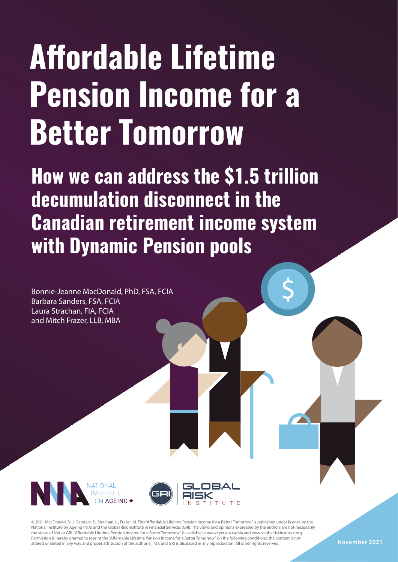# **Affordable Lifetime Pension Income for a Better Tomorrow**

**How we can address the \$1.5 trillion decumulation disconnect in the Canadian retirement income system with Dynamic Pension pools**

Bonnie-Jeanne MacDonald, PhD, FSA, FCIA Barbara Sanders, FSA, FCIA Laura Strachan, FIA, FCIA and Mitch Frazer, LLB, MBA



© 2021 MacDonald, B.-J., Sanders, B., Strachan, L., Frazer, M. This "Affordable Lifetime Pension Income for a Better Tomorrow" is published under license by the National Institute on Ageing (NIA) and the Global Risk Institute in Financial Services (GRI). The views and opinions expressed by the authors are not necessarily the views of NIA or GRI. "Affordable Lifetime Pension Income for a Better Tomorrow" is available at www.ryerson.ca/nia and www.globalriskinstitute.org. Permission is hereby granted to reprint the "Affordable Lifetime Pension Income for a Better Tomorrow" on the following conditions: the content is not altered or edited in any way and proper attribution of the author(s), NIA and GRI is displayed in any reproduction. All other rights reserved.

 **November 2021**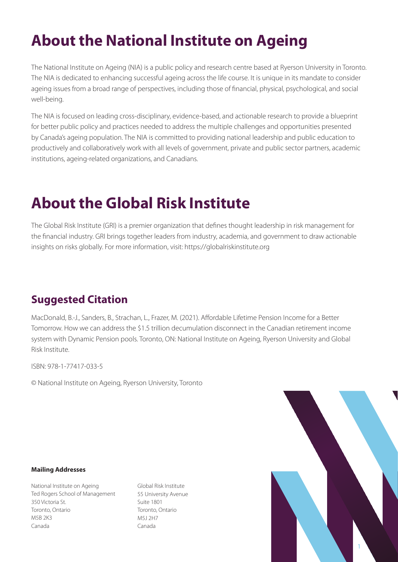# **About the National Institute on Ageing**

The National Institute on Ageing (NIA) is a public policy and research centre based at Ryerson University in Toronto. The NIA is dedicated to enhancing successful ageing across the life course. It is unique in its mandate to consider ageing issues from a broad range of perspectives, including those of financial, physical, psychological, and social well-being.

**Suggested Citation:**  for better public policy and practices needed to address the multiple challenges and opportunities presented by Canada's ageing population. The NIA is committed to providing national leadership and public education to productively and collaboratively work with all levels of government, private and public sector partners, academic institutions, ageing-related organizations, and Canadians. The NIA is focused on leading cross-disciplinary, evidence-based, and actionable research to provide a blueprint

# **About the Global Risk Institute**

insights on risks globally. For more information, visit: https://globalriskinstitute.org<br>. The Global Risk Institute (GRI) is a premier organization that defines thought leadership in risk management for the financial industry. GRI brings together leaders from industry, academia, and government to draw actionable

# **Suggested Citation**

Tomorrow. How we can address the \$1.5 trillion decumulation disconnect in the Canadian retirement income MacDonald, B.-J., Sanders, B., Strachan, L., Frazer, M. (2021). Affordable Lifetime Pension Income for a Better system with Dynamic Pension pools. Toronto, ON: National Institute on Ageing, Ryerson University and Global Risk Institute.

ISBN: 978-1-77417-033-5

© National Institute on Ageing, Ryerson University, Toronto

#### **Mailing Addresses**

National Institute on Ageing Ted Rogers School of Management 350 Victoria St. Toronto, Ontario M5B 2K3 Canada

Global Risk Institute 55 University Avenue Suite 1801 Toronto, Ontario M5J 2H7 Canada

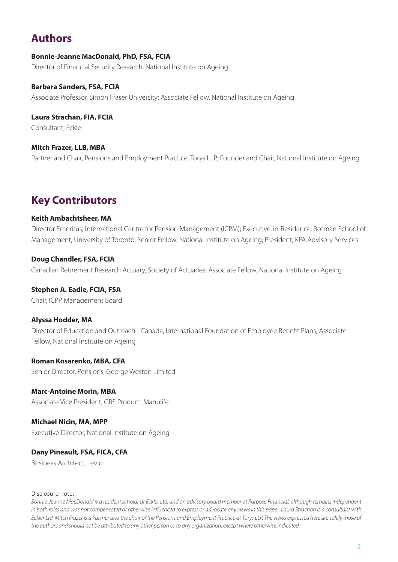## **Authors**

#### **Bonnie-Jeanne MacDonald, PhD, FSA, FCIA** Director of Financial Security Research, National Institute on Ageing

**Barbara Sanders, FSA, FCIA**

Associate Professor, Simon Fraser University; Associate Fellow, National Institute on Ageing

**Laura Strachan, FIA, FCIA** Consultant, Eckler

**Mitch Frazer, LLB, MBA** Partner and Chair, Pensions and Employment Practice, Torys LLP; Founder and Chair, National Institute on Ageing

# **Key Contributors**

#### **Keith Ambachtsheer, MA**

Director Emeritus, International Centre for Pension Management (ICPM); Executive-in-Residence, Rotman School of Management, University of Toronto; Senior Fellow, National Institute on Ageing; President, KPA Advisory Services

**Doug Chandler, FSA, FCIA** Canadian Retirement Research Actuary, Society of Actuaries; Associate Fellow, National Institute on Ageing

**Stephen A. Eadie, FCIA, FSA**

Chair, ICPP Management Board

#### **Alyssa Hodder, MA**

Director of Education and Outreach - Canada, International Foundation of Employee Benefit Plans; Associate Fellow, National Institute on Ageing

**Roman Kosarenko, MBA, CFA** Senior Director, Pensions, George Weston Limited

**Marc-Antoine Morin, MBA** Associate Vice President, GRS Product, Manulife

**Michael Nicin, MA, MPP** Executive Director, National Institute on Ageing

**Dany Pineault, FSA, FICA, CFA** Business Architect, Levio

#### Disclosure note:

*Bonnie-Jeanne MacDonald is a resident scholar at Eckler Ltd. and an advisory board member at Purpose Financial, although remains independent in both roles and was not compensated or otherwise influenced to express or advocate any views in this paper. Laura Strachan is a consultant with Eckler Ltd. Mitch Frazer is a Partner and the chair of the Pensions and Employment Practice at Torys LLP. The views expressed here are solely those of the authors and should not be attributed to any other person or to any organization, except where otherwise indicated.*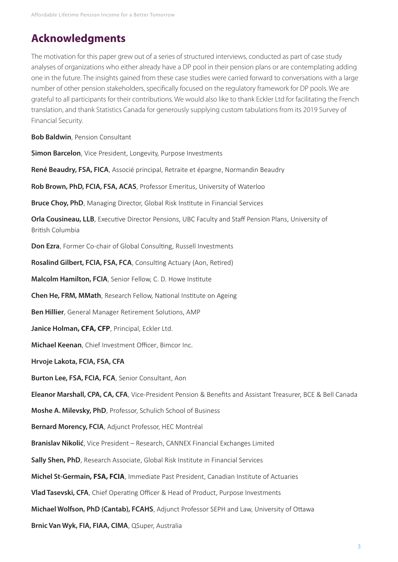### **Acknowledgments**

The motivation for this paper grew out of a series of structured interviews, conducted as part of case study analyses of organizations who either already have a DP pool in their pension plans or are contemplating adding one in the future. The insights gained from these case studies were carried forward to conversations with a large number of other pension stakeholders, specifically focused on the regulatory framework for DP pools. We are grateful to all participants for their contributions. We would also like to thank Eckler Ltd for facilitating the French translation, and thank Statistics Canada for generously supplying custom tabulations from its 2019 Survey of Financial Security.

**Bob Baldwin**, Pension Consultant

**Simon Barcelon**, Vice President, Longevity, Purpose Investments

**René Beaudry, FSA, FICA**, Associé principal, Retraite et épargne, Normandin Beaudry

**Rob Brown, PhD, FCIA, FSA, ACAS**, Professor Emeritus, University of Waterloo

**Bruce Choy, PhD**, Managing Director, Global Risk Institute in Financial Services

**Orla Cousineau, LLB**, Executive Director Pensions, UBC Faculty and Staff Pension Plans, University of British Columbia

**Don Ezra**, Former Co-chair of Global Consulting, Russell Investments

**Rosalind Gilbert, FCIA, FSA, FCA**, Consulting Actuary (Aon, Retired)

**Malcolm Hamilton, FCIA**, Senior Fellow, C. D. Howe Institute

**Chen He, FRM, MMath**, Research Fellow, National Institute on Ageing

**Ben Hillier**, General Manager Retirement Solutions, AMP

**Janice Holman, CFA, CFP**, Principal, Eckler Ltd.

**Michael Keenan**, Chief Investment Officer, Bimcor Inc.

**Hrvoje Lakota, FCIA, FSA, CFA**

**Burton Lee, FSA, FCIA, FCA**, Senior Consultant, Aon

**Eleanor Marshall, CPA, CA, CFA**, Vice-President Pension & Benefits and Assistant Treasurer, BCE & Bell Canada

**Moshe A. Milevsky, PhD**, Professor, Schulich School of Business

**Bernard Morency, FCIA**, Adjunct Professor, HEC Montréal

**Branislav Nikolić**, Vice President – Research, CANNEX Financial Exchanges Limited

**Sally Shen, PhD**, Research Associate, Global Risk Institute in Financial Services

**Michel St-Germain, FSA, FCIA**, Immediate Past President, Canadian Institute of Actuaries

**Vlad Tasevski, CFA**, Chief Operating Officer & Head of Product, Purpose Investments

**Michael Wolfson, PhD (Cantab), FCAHS**, Adjunct Professor SEPH and Law, University of Ottawa

**Brnic Van Wyk, FIA, FIAA, CIMA**, QSuper, Australia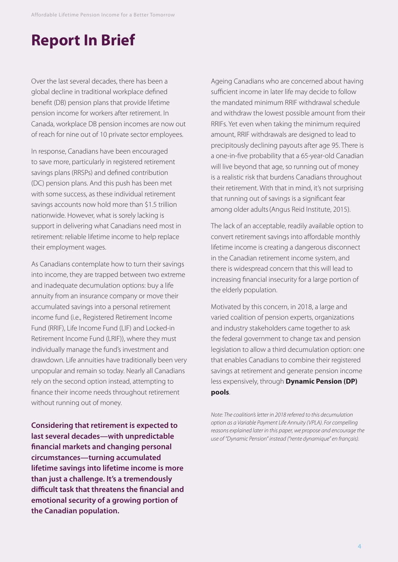# **Report In Brief**

Over the last several decades, there has been a global decline in traditional workplace defined benefit (DB) pension plans that provide lifetime pension income for workers after retirement. In Canada, workplace DB pension incomes are now out of reach for nine out of 10 private sector employees.

In response, Canadians have been encouraged to save more, particularly in registered retirement savings plans (RRSPs) and defined contribution (DC) pension plans. And this push has been met with some success, as these individual retirement savings accounts now hold more than \$1.5 trillion nationwide. However, what is sorely lacking is support in delivering what Canadians need most in retirement: reliable lifetime income to help replace their employment wages.

As Canadians contemplate how to turn their savings into income, they are trapped between two extreme and inadequate decumulation options: buy a life annuity from an insurance company or move their accumulated savings into a personal retirement income fund (i.e., Registered Retirement Income Fund (RRIF), Life Income Fund (LIF) and Locked-in Retirement Income Fund (LRIF)), where they must individually manage the fund's investment and drawdown. Life annuities have traditionally been very unpopular and remain so today. Nearly all Canadians rely on the second option instead, attempting to finance their income needs throughout retirement without running out of money.

**Considering that retirement is expected to last several decades—with unpredictable financial markets and changing personal circumstances—turning accumulated lifetime savings into lifetime income is more than just a challenge. It's a tremendously difficult task that threatens the financial and emotional security of a growing portion of the Canadian population.** 

Ageing Canadians who are concerned about having sufficient income in later life may decide to follow the mandated minimum RRIF withdrawal schedule and withdraw the lowest possible amount from their RRIFs. Yet even when taking the minimum required amount, RRIF withdrawals are designed to lead to precipitously declining payouts after age 95. There is a one-in-five probability that a 65-year-old Canadian will live beyond that age, so running out of money is a realistic risk that burdens Canadians throughout their retirement. With that in mind, it's not surprising that running out of savings is a significant fear among older adults(Angus Reid Institute, 2015).

The lack of an acceptable, readily available option to convert retirement savings into affordable monthly lifetime income is creating a dangerous disconnect in the Canadian retirement income system, and there is widespread concern that this will lead to increasing financial insecurity for a large portion of the elderly population.

Motivated by this concern, in 2018, a large and varied coalition of pension experts, organizations and industry stakeholders came together to ask the federal government to change tax and pension legislation to allow a third decumulation option: one that enables Canadians to combine their registered savings at retirement and generate pension income less expensively, through **Dynamic Pension (DP) pools**.

*Note: The coalition's letter in 2018 referred to this decumulation option as a Variable Payment Life Annuity (VPLA). For compelling reasons explained later in this paper, we propose and encourage the use of "Dynamic Pension" instead ("rente dynamique" en français).*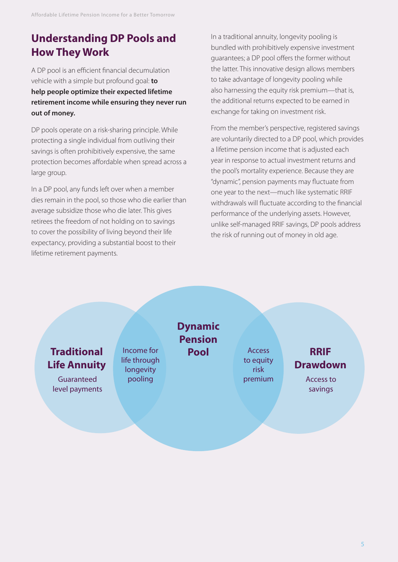# **Understanding DP Pools and How They Work**

A DP pool is an efficient financial decumulation vehicle with a simple but profound goal: **to help people optimize their expected lifetime retirement income while ensuring they never run out of money.** 

DP pools operate on a risk-sharing principle. While protecting a single individual from outliving their savings is often prohibitively expensive, the same protection becomes affordable when spread across a large group.

In a DP pool, any funds left over when a member dies remain in the pool, so those who die earlier than average subsidize those who die later. This gives retirees the freedom of not holding on to savings to cover the possibility of living beyond their life expectancy, providing a substantial boost to their lifetime retirement payments.

In a traditional annuity, longevity pooling is bundled with prohibitively expensive investment guarantees; a DP pool offers the former without the latter. This innovative design allows members to take advantage of longevity pooling while also harnessing the equity risk premium—that is, the additional returns expected to be earned in exchange for taking on investment risk.

From the member's perspective, registered savings are voluntarily directed to a DP pool, which provides a lifetime pension income that is adjusted each year in response to actual investment returns and the pool's mortality experience. Because they are "dynamic", pension payments may fluctuate from one year to the next—much like systematic RRIF withdrawals will fluctuate according to the financial performance of the underlying assets. However, unlike self-managed RRIF savings, DP pools address the risk of running out of money in old age.

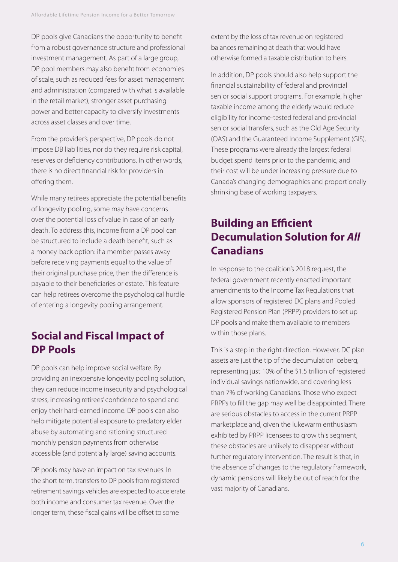DP pools give Canadians the opportunity to benefit from a robust governance structure and professional investment management. As part of a large group, DP pool members may also benefit from economies of scale, such as reduced fees for asset management and administration (compared with what is available in the retail market), stronger asset purchasing power and better capacity to diversify investments across asset classes and over time.

From the provider's perspective, DP pools do not impose DB liabilities, nor do they require risk capital, reserves or deficiency contributions. In other words, there is no direct financial risk for providers in offering them.

While many retirees appreciate the potential benefits of longevity pooling, some may have concerns over the potential loss of value in case of an early death. To address this, income from a DP pool can be structured to include a death benefit, such as a money-back option: if a member passes away before receiving payments equal to the value of their original purchase price, then the difference is payable to their beneficiaries or estate. This feature can help retirees overcome the psychological hurdle of entering a longevity pooling arrangement.

# **Social and Fiscal Impact of DP Pools**

DP pools can help improve social welfare. By providing an inexpensive longevity pooling solution, they can reduce income insecurity and psychological stress, increasing retirees' confidence to spend and enjoy their hard-earned income. DP pools can also help mitigate potential exposure to predatory elder abuse by automating and rationing structured monthly pension payments from otherwise accessible (and potentially large) saving accounts.

DP pools may have an impact on tax revenues. In the short term, transfers to DP pools from registered retirement savings vehicles are expected to accelerate both income and consumer tax revenue. Over the longer term, these fiscal gains will be offset to some

extent by the loss of tax revenue on registered balances remaining at death that would have otherwise formed a taxable distribution to heirs.

In addition, DP pools should also help support the financial sustainability of federal and provincial senior social support programs. For example, higher taxable income among the elderly would reduce eligibility for income-tested federal and provincial senior social transfers, such as the Old Age Security (OAS) and the Guaranteed Income Supplement (GIS). These programs were already the largest federal budget spend items prior to the pandemic, and their cost will be under increasing pressure due to Canada's changing demographics and proportionally shrinking base of working taxpayers.

# **Building an Efficient Decumulation Solution for** *All* **Canadians**

In response to the coalition's 2018 request, the federal government recently enacted important amendments to the Income Tax Regulations that allow sponsors of registered DC plans and Pooled Registered Pension Plan (PRPP) providers to set up DP pools and make them available to members within those plans.

This is a step in the right direction. However, DC plan assets are just the tip of the decumulation iceberg, representing just 10% of the \$1.5 trillion of registered individual savings nationwide, and covering less than 7% of working Canadians. Those who expect PRPPs to fill the gap may well be disappointed. There are serious obstacles to access in the current PRPP marketplace and, given the lukewarm enthusiasm exhibited by PRPP licensees to grow this segment, these obstacles are unlikely to disappear without further regulatory intervention. The result is that, in the absence of changes to the regulatory framework, dynamic pensions will likely be out of reach for the vast majority of Canadians.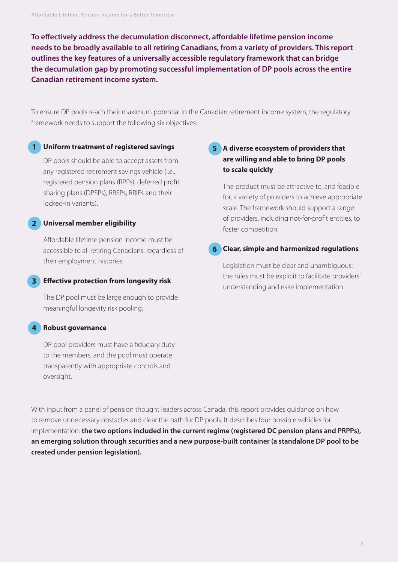**To effectively address the decumulation disconnect, affordable lifetime pension income needs to be broadly available to all retiring Canadians, from a variety of providers. This report outlines the key features of a universally accessible regulatory framework that can bridge the decumulation gap by promoting successful implementation of DP pools across the entire Canadian retirement income system.** 

To ensure DP pools reach their maximum potential in the Canadian retirement income system, the regulatory framework needs to support the following six objectives:

#### **Uniform treatment of registered savings 1**

DP pools should be able to accept assets from any registered retirement savings vehicle (i.e., registered pension plans (RPPs), deferred profit sharing plans (DPSPs), RRSPs, RRIFs and their locked-in variants).

#### **Universal member eligibility 2**

Affordable lifetime pension income must be accessible to all retiring Canadians, regardless of their employment histories.

#### **Effective protection from longevity risk 3**

The DP pool must be large enough to provide meaningful longevity risk pooling.

#### **Robust governance 4**

DP pool providers must have a fiduciary duty to the members, and the pool must operate transparently with appropriate controls and oversight.

#### **A diverse ecosystem of providers that 5 are willing and able to bring DP pools to scale quickly**

The product must be attractive to, and feasible for, a variety of providers to achieve appropriate scale. The framework should support a range of providers, including not-for-profit entities, to foster competition.

#### **Clear, simple and harmonized regulations 6**

Legislation must be clear and unambiguous: the rules must be explicit to facilitate providers' understanding and ease implementation.

With input from a panel of pension thought leaders across Canada, this report provides guidance on how to remove unnecessary obstacles and clear the path for DP pools. It describes four possible vehicles for implementation: **the two options included in the current regime (registered DC pension plans and PRPPs), an emerging solution through securities and a new purpose-built container (a standalone DP pool to be created under pension legislation).**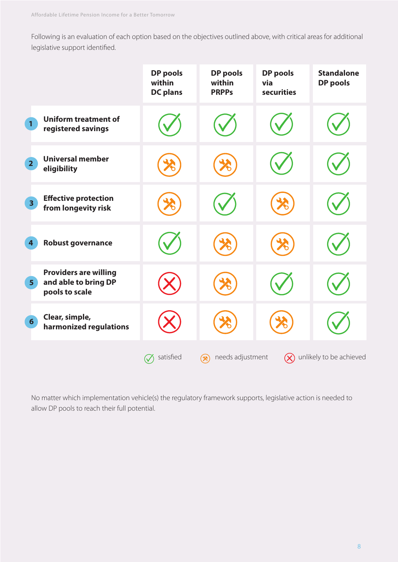Following is an evaluation of each option based on the objectives outlined above, with critical areas for additional legislative support identified.

|                                                                                          | <b>DP</b> pools<br>within<br><b>DC</b> plans | <b>DP pools</b><br>within<br><b>PRPPs</b> | <b>DP</b> pools<br>via<br>securities | <b>Standalone</b><br><b>DP</b> pools |
|------------------------------------------------------------------------------------------|----------------------------------------------|-------------------------------------------|--------------------------------------|--------------------------------------|
| <b>Uniform treatment of</b><br>$\mathbf{1}$<br>registered savings                        |                                              |                                           |                                      |                                      |
| <b>Universal member</b><br>2 <sup>1</sup><br>eligibility                                 |                                              |                                           |                                      |                                      |
| <b>Effective protection</b><br>3 <sup>1</sup><br>from longevity risk                     |                                              |                                           |                                      |                                      |
| <b>Robust governance</b><br>4                                                            |                                              |                                           |                                      |                                      |
| <b>Providers are willing</b><br>and able to bring DP<br>5 <sup>1</sup><br>pools to scale |                                              |                                           |                                      |                                      |
| Clear, simple,<br>$6 \overline{6}$<br>harmonized regulations                             |                                              |                                           |                                      |                                      |
|                                                                                          | satisfied                                    | needs adjustment<br>$(\%)$                | $(\times)$                           | unlikely to be achieved              |

No matter which implementation vehicle(s) the regulatory framework supports, legislative action is needed to allow DP pools to reach their full potential.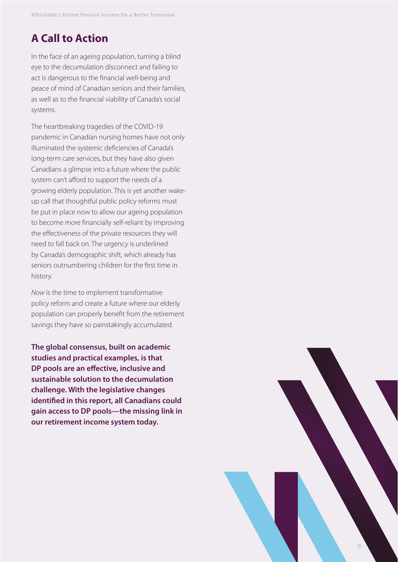# **A Call to Action**

In the face of an ageing population, turning a blind eye to the decumulation disconnect and failing to act is dangerous to the financial well-being and peace of mind of Canadian seniors and their families, as well as to the financial viability of Canada's social systems.

The heartbreaking tragedies of the COVID-19 pandemic in Canadian nursing homes have not only illuminated the systemic deficiencies of Canada's long-term care services, but they have also given Canadians a glimpse into a future where the public system can't afford to support the needs of a growing elderly population. This is yet another wakeup call that thoughtful public policy reforms must be put in place now to allow our ageing population to become more financially self-reliant by improving the effectiveness of the private resources they will need to fall back on. The urgency is underlined by Canada's demographic shift, which already has seniors outnumbering children for the first time in history.

*Now* is the time to implement transformative policy reform and create a future where our elderly population can properly benefit from the retirement savings they have so painstakingly accumulated.

**The global consensus, built on academic studies and practical examples, is that DP pools are an effective, inclusive and sustainable solution to the decumulation challenge. With the legislative changes identified in this report, all Canadians could gain access to DP pools—the missing link in our retirement income system today.** 

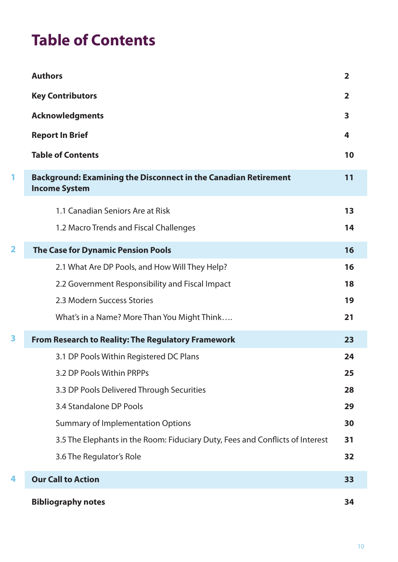# **Table of Contents**

|                         | <b>Authors</b>                                                                                 | $\overline{2}$ |
|-------------------------|------------------------------------------------------------------------------------------------|----------------|
|                         | <b>Key Contributors</b>                                                                        | $\overline{2}$ |
|                         | <b>Acknowledgments</b>                                                                         | 3              |
|                         | <b>Report In Brief</b>                                                                         | 4              |
|                         | <b>Table of Contents</b>                                                                       | 10             |
| 1                       | <b>Background: Examining the Disconnect in the Canadian Retirement</b><br><b>Income System</b> | 11             |
|                         | 1.1 Canadian Seniors Are at Risk                                                               | 13             |
|                         | 1.2 Macro Trends and Fiscal Challenges                                                         | 14             |
| $\overline{\mathbf{2}}$ | <b>The Case for Dynamic Pension Pools</b>                                                      | 16             |
|                         | 2.1 What Are DP Pools, and How Will They Help?                                                 | 16             |
|                         | 2.2 Government Responsibility and Fiscal Impact                                                | 18             |
|                         | 2.3 Modern Success Stories                                                                     | 19             |
|                         | What's in a Name? More Than You Might Think                                                    | 21             |
| 3                       | <b>From Research to Reality: The Regulatory Framework</b>                                      | 23             |
|                         | 3.1 DP Pools Within Registered DC Plans                                                        | 24             |
|                         | 3.2 DP Pools Within PRPPs                                                                      | 25             |
|                         | 3.3 DP Pools Delivered Through Securities                                                      | 28             |
|                         | 3.4 Standalone DP Pools                                                                        | 29             |
|                         | <b>Summary of Implementation Options</b>                                                       | 30             |
|                         | 3.5 The Elephants in the Room: Fiduciary Duty, Fees and Conflicts of Interest                  | 31             |
|                         | 3.6 The Regulator's Role                                                                       | 32             |
| 4                       | <b>Our Call to Action</b>                                                                      | 33             |
|                         | <b>Bibliography notes</b>                                                                      | 34             |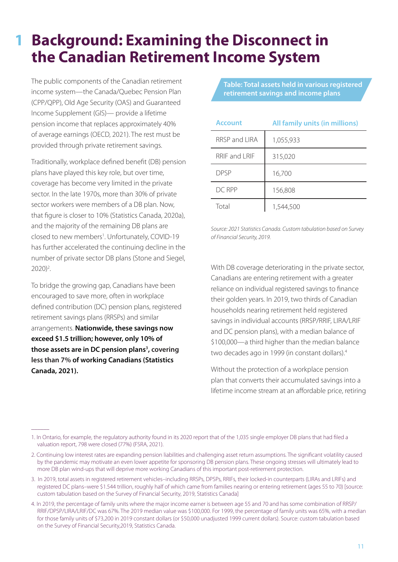# **Background: Examining the Disconnect in the Canadian Retirement Income System**

The public components of the Canadian retirement income system—the Canada/Quebec Pension Plan (CPP/QPP), Old Age Security (OAS) and Guaranteed Income Supplement (GIS)— provide a lifetime pension income that replaces approximately 40% of average earnings (OECD, 2021). The rest must be provided through private retirement savings.

Traditionally, workplace defined benefit (DB) pension plans have played this key role, but over time, coverage has become very limited in the private sector. In the late 1970s, more than 30% of private sector workers were members of a DB plan. Now, that figure is closer to 10% (Statistics Canada, 2020a), and the majority of the remaining DB plans are closed to new members<sup>1</sup>. Unfortunately, COVID-19 has further accelerated the continuing decline in the number of private sector DB plans (Stone and Siegel, 2020)<sup>2</sup>.

To bridge the growing gap, Canadians have been encouraged to save more, often in workplace defined contribution (DC) pension plans, registered retirement savings plans (RRSPs) and similar arrangements. **Nationwide, these savings now exceed \$1.5 trillion; however, only 10% of**  those assets are in DC pension plans<sup>3</sup>, covering **less than 7% of working Canadians (Statistics Canada, 2021).** 

 $\overline{\phantom{a}}$ 

**1**

**Table: Total assets held in various registered retirement savings and income plans** 

| <b>Account</b> | All family units (in millions) |  |  |
|----------------|--------------------------------|--|--|
| RRSP and LIRA  | 1,055,933                      |  |  |
| RRIF and LRIF  | 315,020                        |  |  |
| <b>DPSP</b>    | 16,700                         |  |  |
| $DC$ RPP       | 156,808                        |  |  |
| Total          | 1,544,500                      |  |  |

*Source: 2021 Statistics Canada. Custom tabulation based on Survey of Financial Security, 2019.*

With DB coverage deteriorating in the private sector, Canadians are entering retirement with a greater reliance on individual registered savings to finance their golden years. In 2019, two thirds of Canadian households nearing retirement held registered savings in individual accounts (RRSP/RRIF, LIRA/LRIF and DC pension plans), with a median balance of \$100,000—a third higher than the median balance two decades ago in 1999 (in constant dollars).<sup>4</sup>

Without the protection of a workplace pension plan that converts their accumulated savings into a lifetime income stream at an affordable price, retiring

<sup>1.</sup> In Ontario, for example, the regulatory authority found in its 2020 report that of the 1,035 single employer DB plans that had filed a valuation report, 798 were closed (77%) (FSRA, 2021).

<sup>2.</sup> Continuing low interest rates are expanding pension liabilities and challenging asset return assumptions. The significant volatility caused by the pandemic may motivate an even lower appetite for sponsoring DB pension plans. These ongoing stresses will ultimately lead to more DB plan wind-ups that will deprive more working Canadians of this important post-retirement protection.

<sup>3.</sup> In 2019, total assets in registered retirement vehicles–including RRSPs, DPSPs, RRIFs, their locked-in counterparts (LIRAs and LRIFs) and registered DC plans–were \$1.544 trillion, roughly half of which came from families nearing or entering retirement (ages 55 to 70) [source: custom tabulation based on the Survey of Financial Security, 2019, Statistics Canada]

<sup>4.</sup> In 2019, the percentage of family units where the major income earner is between age 55 and 70 and has some combination of RRSP/ RRIF/DPSP/LIRA/LRIF/DC was 67%. The 2019 median value was \$100,000. For 1999, the percentage of family units was 65%, with a median for those family units of \$73,200 in 2019 constant dollars (or \$50,000 unadjusted 1999 current dollars). Source: custom tabulation based on the Survey of Financial Security,2019, Statistics Canada.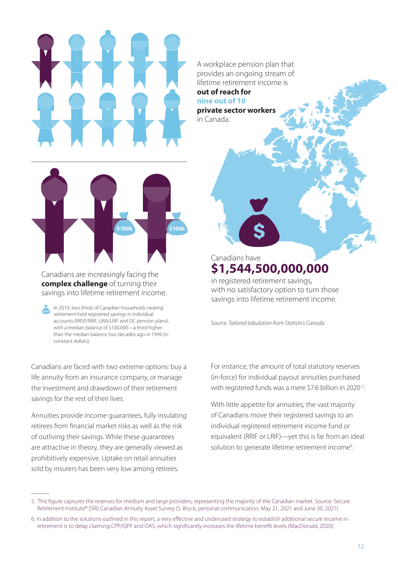

A workplace pension plan that provides an ongoing stream of lifetime retirement income is

**out of reach for nine out of 10**

**private sector workers**  in Canada.



Canadians are increasingly facing the **complex challenge** of turning their savings into lifetime retirement income.

In 2019, two thirds of Canadian households nearing retirement held registered savings in individual accounts (RRSP/RRIF, LIRA/LRIF and DC pension plans), with a median balance of \$100,000—a third higher than the median balance two decades ago in 1999 (in constant dollars).

Canadians are faced with two extreme options: buy a life annuity from an insurance company, or manage the investment and drawdown of their retirement savings for the rest of their lives.

Annuities provide income guarantees, fully insulating retirees from financial market risks as well as the risk of outliving their savings. While these guarantees are attractive in theory, they are generally viewed as prohibitively expensive. Uptake on retail annuities sold by insurers has been very low among retirees.

 $\overline{\phantom{a}}$ 

in registered retirement savings, with no satisfactory option to turn those savings into lifetime retirement income. **\$1,544,500,000,000**  Canadians have

*Source: Tailored tabulation from Statistics Canada*

For instance, the amount of total statutory reserves (in-force) for individual payout annuities purchased with registered funds was a mere \$7.6 billion in 2020<sup>5</sup>.

With little appetite for annuities, the vast majority of Canadians move their registered savings to an individual registered retirement income fund or equivalent (RRIF or LRIF)—yet this is far from an ideal solution to generate lifetime retirement income<sup>6</sup>.

<sup>5.</sup> This figure captures the reserves for medium and large providers, representing the majority of the Canadian market. Source: Secure Retirement Institute® (SRI) Canadian Annuity Asset Survey (S. Bryck, personal communication, May 21, 2021 and June 30, 2021)

<sup>6.</sup> In addition to the solutions outlined in this report, a very effective and underused strategy to establish additional secure income in retirement is to delay claiming CPP/QPP and OAS, which significantly increases the lifetime benefit levels (MacDonald, 2020).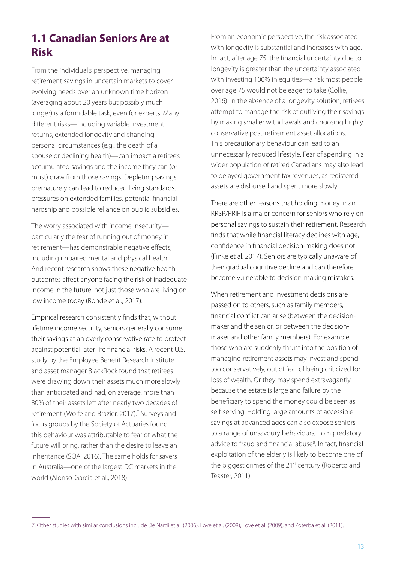# **1.1 Canadian Seniors Are at Risk**

From the individual's perspective, managing retirement savings in uncertain markets to cover evolving needs over an unknown time horizon (averaging about 20 years but possibly much longer) is a formidable task, even for experts. Many different risks—including variable investment returns, extended longevity and changing personal circumstances (e.g., the death of a spouse or declining health)—can impact a retiree's accumulated savings and the income they can (or must) draw from those savings. Depleting savings prematurely can lead to reduced living standards, pressures on extended families, potential financial hardship and possible reliance on public subsidies.

The worry associated with income insecurity particularly the fear of running out of money in retirement—has demonstrable negative effects, including impaired mental and physical health. And recent research shows these negative health outcomes affect anyone facing the risk of inadequate income in the future, not just those who are living on low income today (Rohde et al., 2017).

Empirical research consistently finds that, without lifetime income security, seniors generally consume their savings at an overly conservative rate to protect against potential later-life financial risks. A recent U.S. study by the Employee Benefit Research Institute and asset manager BlackRock found that retirees were drawing down their assets much more slowly than anticipated and had, on average, more than 80% of their assets left after nearly two decades of retirement (Wolfe and Brazier, 2017).<sup>7</sup> Surveys and focus groups by the Society of Actuaries found this behaviour was attributable to fear of what the future will bring, rather than the desire to leave an inheritance (SOA, 2016). The same holds for savers in Australia—one of the largest DC markets in the world (Alonso-Garcia et al., 2018).

 $\overline{\phantom{a}}$ 

From an economic perspective, the risk associated with longevity is substantial and increases with age. In fact, after age 75, the financial uncertainty due to longevity is greater than the uncertainty associated with investing 100% in equities—a risk most people over age 75 would not be eager to take (Collie, 2016). In the absence of a longevity solution, retirees attempt to manage the risk of outliving their savings by making smaller withdrawals and choosing highly conservative post-retirement asset allocations. This precautionary behaviour can lead to an unnecessarily reduced lifestyle. Fear of spending in a wider population of retired Canadians may also lead to delayed government tax revenues, as registered assets are disbursed and spent more slowly.

There are other reasons that holding money in an RRSP/RRIF is a major concern for seniors who rely on personal savings to sustain their retirement. Research finds that while financial literacy declines with age, confidence in financial decision-making does not (Finke et al. 2017). Seniors are typically unaware of their gradual cognitive decline and can therefore become vulnerable to decision-making mistakes.

When retirement and investment decisions are passed on to others, such as family members, financial conflict can arise (between the decisionmaker and the senior, or between the decisionmaker and other family members). For example, those who are suddenly thrust into the position of managing retirement assets may invest and spend too conservatively, out of fear of being criticized for loss of wealth. Or they may spend extravagantly, because the estate is large and failure by the beneficiary to spend the money could be seen as self-serving. Holding large amounts of accessible savings at advanced ages can also expose seniors to a range of unsavoury behaviours, from predatory advice to fraud and financial abuse<sup>8</sup>. In fact, financial exploitation of the elderly is likely to become one of the biggest crimes of the 21<sup>st</sup> century (Roberto and Teaster, 2011).

<sup>7.</sup> Other studies with similar conclusions include De Nardi et al. (2006), Love et al. (2008), Love et al. (2009), and Poterba et al. (2011).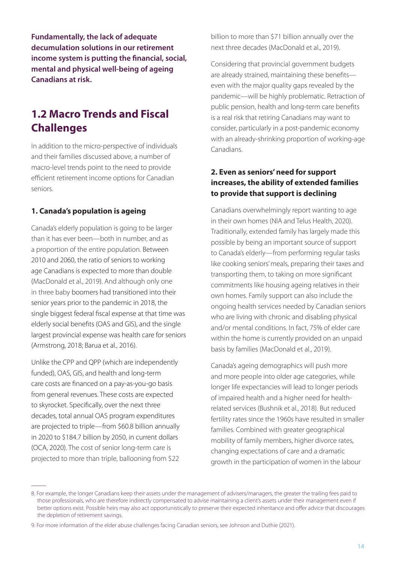**Fundamentally, the lack of adequate decumulation solutions in our retirement income system is putting the financial, social, mental and physical well-being of ageing Canadians at risk.**

# **1.2 Macro Trends and Fiscal Challenges**

In addition to the micro-perspective of individuals and their families discussed above, a number of macro-level trends point to the need to provide efficient retirement income options for Canadian seniors.

#### **1. Canada's population is ageing**

Canada's elderly population is going to be larger than it has ever been—both in number, and as a proportion of the entire population. Between 2010 and 2060, the ratio of seniors to working age Canadians is expected to more than double (MacDonald et al., 2019). And although only one in three baby boomers had transitioned into their senior years prior to the pandemic in 2018, the single biggest federal fiscal expense at that time was elderly social benefits (OAS and GIS), and the single largest provincial expense was health care for seniors (Armstrong, 2018; Barua et al., 2016).

Unlike the CPP and QPP (which are independently funded), OAS, GIS, and health and long-term care costs are financed on a pay-as-you-go basis from general revenues. These costs are expected to skyrocket. Specifically, over the next three decades, total annual OAS program expenditures are projected to triple—from \$60.8 billion annually in 2020 to \$184.7 billion by 2050, in current dollars (OCA, 2020). The cost of senior long-term care is projected to more than triple, ballooning from \$22

 $\overline{\phantom{a}}$ 

billion to more than \$71 billion annually over the next three decades (MacDonald et al., 2019).

Considering that provincial government budgets are already strained, maintaining these benefits even with the major quality gaps revealed by the pandemic—will be highly problematic. Retraction of public pension, health and long-term care benefits is a real risk that retiring Canadians may want to consider, particularly in a post-pandemic economy with an already-shrinking proportion of working-age Canadians.

#### **2. Even as seniors' need for support increases, the ability of extended families to provide that support is declining**

Canadians overwhelmingly report wanting to age in their own homes (NIA and Telus Health, 2020). Traditionally, extended family has largely made this possible by being an important source of support to Canada's elderly—from performing regular tasks like cooking seniors' meals, preparing their taxes and transporting them, to taking on more significant commitments like housing ageing relatives in their own homes. Family support can also include the ongoing health services needed by Canadian seniors who are living with chronic and disabling physical and/or mental conditions. In fact, 75% of elder care within the home is currently provided on an unpaid basis by families (MacDonald et al., 2019).

Canada's ageing demographics will push more and more people into older age categories, while longer life expectancies will lead to longer periods of impaired health and a higher need for healthrelated services (Bushnik et al., 2018). But reduced fertility rates since the 1960s have resulted in smaller families. Combined with greater geographical mobility of family members, higher divorce rates, changing expectations of care and a dramatic growth in the participation of women in the labour

<sup>8.</sup> For example, the longer Canadians keep their assets under the management of advisers/managers, the greater the trailing fees paid to those professionals, who are therefore indirectly compensated to advise maintaining a client's assets under their management even if better options exist. Possible heirs may also act opportunistically to preserve their expected inheritance and offer advice that discourages the depletion of retirement savings.

<sup>9.</sup> For more information of the elder abuse challenges facing Canadian seniors, see Johnson and Duthie (2021).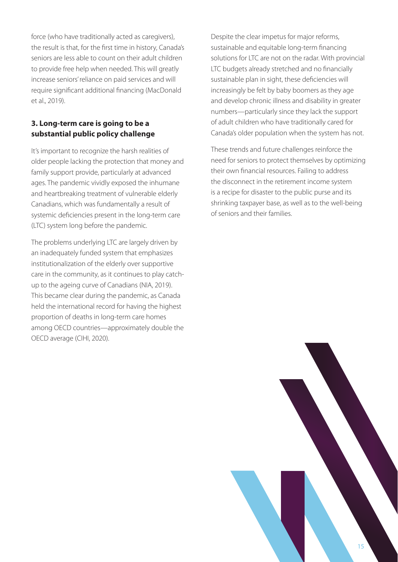force (who have traditionally acted as caregivers), the result is that, for the first time in history, Canada's seniors are less able to count on their adult children to provide free help when needed. This will greatly increase seniors' reliance on paid services and will require significant additional financing (MacDonald et al., 2019).

#### **3. Long-term care is going to be a substantial public policy challenge**

It's important to recognize the harsh realities of older people lacking the protection that money and family support provide, particularly at advanced ages. The pandemic vividly exposed the inhumane and heartbreaking treatment of vulnerable elderly Canadians, which was fundamentally a result of systemic deficiencies present in the long-term care (LTC) system long before the pandemic.

The problems underlying LTC are largely driven by an inadequately funded system that emphasizes institutionalization of the elderly over supportive care in the community, as it continues to play catchup to the ageing curve of Canadians (NIA, 2019). This became clear during the pandemic, as Canada held the international record for having the highest proportion of deaths in long-term care homes among OECD countries—approximately double the OECD average (CIHI, 2020).

Despite the clear impetus for major reforms, sustainable and equitable long-term financing solutions for LTC are not on the radar. With provincial LTC budgets already stretched and no financially sustainable plan in sight, these deficiencies will increasingly be felt by baby boomers as they age and develop chronic illness and disability in greater numbers—particularly since they lack the support of adult children who have traditionally cared for Canada's older population when the system has not.

These trends and future challenges reinforce the need for seniors to protect themselves by optimizing their own financial resources. Failing to address the disconnect in the retirement income system is a recipe for disaster to the public purse and its shrinking taxpayer base, as well as to the well-being of seniors and their families.

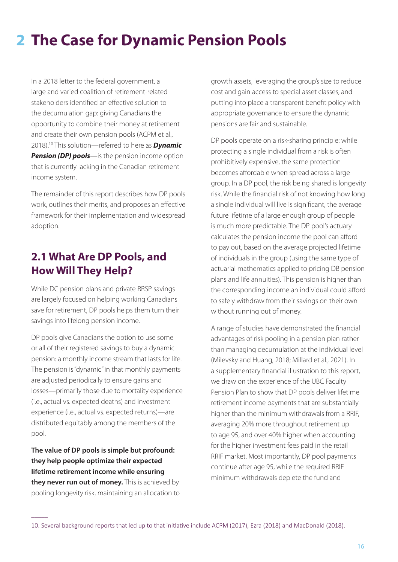# **The Case for Dynamic Pension Pools 2**

In a 2018 letter to the federal government, a large and varied coalition of retirement-related stakeholders identified an effective solution to the decumulation gap: giving Canadians the opportunity to combine their money at retirement and create their own pension pools (ACPM et al., 2018).10 This solution—referred to here as *Dynamic*  **Pension (DP) pools**—is the pension income option that is currently lacking in the Canadian retirement income system.

The remainder of this report describes how DP pools work, outlines their merits, and proposes an effective framework for their implementation and widespread adoption.

# **2.1 What Are DP Pools, and How Will They Help?**

While DC pension plans and private RRSP savings are largely focused on helping working Canadians save for retirement, DP pools helps them turn their savings into lifelong pension income.

DP pools give Canadians the option to use some or all of their registered savings to buy a dynamic pension: a monthly income stream that lasts for life. The pension is "dynamic" in that monthly payments are adjusted periodically to ensure gains and losses—primarily those due to mortality experience (i.e., actual vs. expected deaths) and investment experience (i.e., actual vs. expected returns)—are distributed equitably among the members of the pool.

**The value of DP pools is simple but profound: they help people optimize their expected lifetime retirement income while ensuring they never run out of money.** This is achieved by pooling longevity risk, maintaining an allocation to

 $\overline{\phantom{a}}$ 

growth assets, leveraging the group's size to reduce cost and gain access to special asset classes, and putting into place a transparent benefit policy with appropriate governance to ensure the dynamic pensions are fair and sustainable.

DP pools operate on a risk-sharing principle: while protecting a single individual from a risk is often prohibitively expensive, the same protection becomes affordable when spread across a large group. In a DP pool, the risk being shared is longevity risk. While the financial risk of not knowing how long a single individual will live is significant, the average future lifetime of a large enough group of people is much more predictable. The DP pool's actuary calculates the pension income the pool can afford to pay out, based on the average projected lifetime of individuals in the group (using the same type of actuarial mathematics applied to pricing DB pension plans and life annuities). This pension is higher than the corresponding income an individual could afford to safely withdraw from their savings on their own without running out of money.

A range of studies have demonstrated the financial advantages of risk pooling in a pension plan rather than managing decumulation at the individual level (Milevsky and Huang, 2018; Millard et al., 2021). In a supplementary financial illustration to this report, we draw on the experience of the UBC Faculty Pension Plan to show that DP pools deliver lifetime retirement income payments that are substantially higher than the minimum withdrawals from a RRIF, averaging 20% more throughout retirement up to age 95, and over 40% higher when accounting for the higher investment fees paid in the retail RRIF market. Most importantly, DP pool payments continue after age 95, while the required RRIF minimum withdrawals deplete the fund and

<sup>10.</sup> Several background reports that led up to that initiative include ACPM (2017), Ezra (2018) and MacDonald (2018).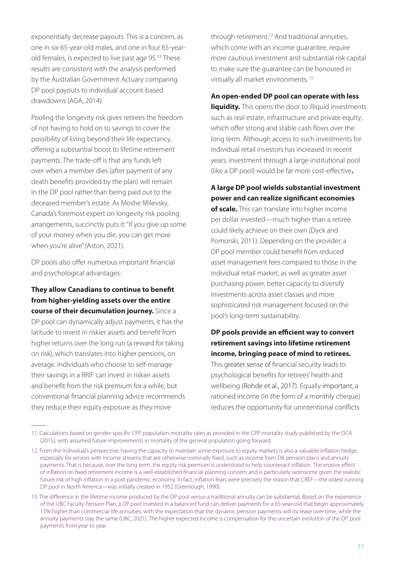exponentially decrease payouts. This is a concern, as one in six 65-year-old males, and one in four 65-yearold females, is expected to live past age 95.<sup>11</sup> These results are consistent with the analysis performed by the Australian Government Actuary comparing DP pool payouts to individual account-based drawdowns (AGA, 2014).

Pooling the longevity risk gives retirees the freedom of not having to hold on to savings to cover the possibility of living beyond their life expectancy, offering a substantial boost to lifetime retirement payments. The trade-off is that any funds left over when a member dies (after payment of any death benefits provided by the plan) will remain in the DP pool rather than being paid out to the deceased member's estate. As Moshe Milevsky, Canada's foremost expert on longevity risk pooling arrangements, succinctly puts it: "If you give up some of your money when you die, you can get more when you're alive" (Aston, 2021).

DP pools also offer numerous important financial and psychological advantages:

#### **They allow Canadians to continue to benefit from higher-yielding assets over the entire course of their decumulation journey.** Since a

DP pool can dynamically adjust payments, it has the latitude to invest in riskier assets and benefit from higher returns over the long run (a reward for taking on risk), which translates into higher pensions, on average. Individuals who choose to self-manage their savings in a RRIF can invest in riskier assets and benefit from the risk premium for a while, but conventional financial planning advice recommends they reduce their equity exposure as they move

 $\overline{\phantom{a}}$ 

through retirement.12 And traditional annuities, which come with an income guarantee, require more cautious investment and substantial risk capital to make sure the guarantee can be honoured in virtually all market environments. <sup>13</sup>

#### **An open-ended DP pool can operate with less**

**liquidity.** This opens the door to illiquid investments such as real estate, infrastructure and private equity, which offer strong and stable cash flows over the long term. Although access to such investments for individual retail investors has increased in recent years, investment through a large institutional pool (like a DP pool) would be far more cost-effective**.**

**A large DP pool wields substantial investment power and can realize significant economies of scale.** This can translate into higher income per dollar invested—much higher than a retiree could likely achieve on their own (Dyck and Pomorski, 2011). Depending on the provider, a DP pool member could benefit from reduced asset management fees compared to those in the individual retail market, as well as greater asset purchasing power, better capacity to diversify investments across asset classes and more sophisticated risk management focused on the pool's long-term sustainability.

#### **DP pools provide an efficient way to convert retirement savings into lifetime retirement income, bringing peace of mind to retirees.**

This greater sense of financial security leads to psychological benefits for retirees' health and wellbeing (Rohde et al., 2017). Equally important, a rationed income (in the form of a monthly cheque) reduces the opportunity for unintentional conflicts

<sup>11.</sup> Calculations based on gender-specific CPP population mortality rates as provided in the CPP mortality study published by the OCA (2015), with assumed future improvements in mortality of the general population going forward.

<sup>12.</sup> From the individual's perspective, having the capacity to maintain some exposure to equity markets is also a valuable inflation hedge, especially for seniors with income streams that are otherwise nominally fixed, such as income from DB pension plans and annuity payments. That is because, over the long term, the equity risk premium is understood to help counteract inflation. The erosive effect of inflation on fixed retirement income is a well-established financial planning concern and is particularly worrisome given the realistic future risk of high inflation in a post-pandemic economy. In fact, inflation fears were precisely the reason that CREF—the oldest running DP pool in North America—was initially created in 1952 (Greenough, 1990).

<sup>13.</sup> The difference in the lifetime income produced by the DP pool versus a traditional annuity can be substantial. Based on the experience of the UBC Faculty Pension Plan, a DP pool invested in a balanced fund can deliver payments for a 65-year-old that begin approximately 15% higher than commercial life annuities, with the expectation that the dynamic pension payments will increase over time, while the annuity payments stay the same (UBC, 2021). The higher expected income is compensation for the uncertain evolution of the DP pool payments from year to year.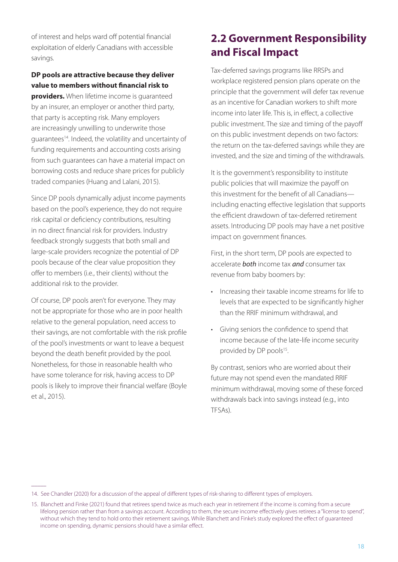of interest and helps ward off potential financial exploitation of elderly Canadians with accessible savings.

#### **DP pools are attractive because they deliver value to members without financial risk to**

**providers.** When lifetime income is quaranteed by an insurer, an employer or another third party, that party is accepting risk. Many employers are increasingly unwilling to underwrite those guarantees14. Indeed, the volatility and uncertainty of funding requirements and accounting costs arising from such guarantees can have a material impact on borrowing costs and reduce share prices for publicly traded companies (Huang and Lalani, 2015).

Since DP pools dynamically adjust income payments based on the pool's experience, they do not require risk capital or deficiency contributions, resulting in no direct financial risk for providers. Industry feedback strongly suggests that both small and large-scale providers recognize the potential of DP pools because of the clear value proposition they offer to members (i.e., their clients) without the additional risk to the provider.

Of course, DP pools aren't for everyone. They may not be appropriate for those who are in poor health relative to the general population, need access to their savings, are not comfortable with the risk profile of the pool's investments or want to leave a bequest beyond the death benefit provided by the pool. Nonetheless, for those in reasonable health who have some tolerance for risk, having access to DP pools is likely to improve their financial welfare (Boyle et al., 2015).

 $\overline{\phantom{a}}$ 

# **2.2 Government Responsibility and Fiscal Impact**

Tax-deferred savings programs like RRSPs and workplace registered pension plans operate on the principle that the government will defer tax revenue as an incentive for Canadian workers to shift more income into later life. This is, in effect, a collective public investment. The size and timing of the payoff on this public investment depends on two factors: the return on the tax-deferred savings while they are invested, and the size and timing of the withdrawals.

It is the government's responsibility to institute public policies that will maximize the payoff on this investment for the benefit of all Canadians including enacting effective legislation that supports the efficient drawdown of tax-deferred retirement assets. Introducing DP pools may have a net positive impact on government finances.

First, in the short term, DP pools are expected to accelerate *both* income tax *and* consumer tax revenue from baby boomers by:

- • Increasing their taxable income streams for life to levels that are expected to be significantly higher than the RRIF minimum withdrawal, and
- • Giving seniors the confidence to spend that income because of the late-life income security provided by DP pools<sup>15</sup>.

By contrast, seniors who are worried about their future may not spend even the mandated RRIF minimum withdrawal, moving some of these forced withdrawals back into savings instead (e.g., into TFSAs).

<sup>14.</sup> See Chandler (2020) for a discussion of the appeal of different types of risk-sharing to different types of employers.

<sup>15.</sup> Blanchett and Finke (2021) found that retirees spend twice as much each year in retirement if the income is coming from a secure lifelong pension rather than from a savings account. According to them, the secure income effectively gives retirees a "license to spend", without which they tend to hold onto their retirement savings. While Blanchett and Finke's study explored the effect of guaranteed income on spending, dynamic pensions should have a similar effect.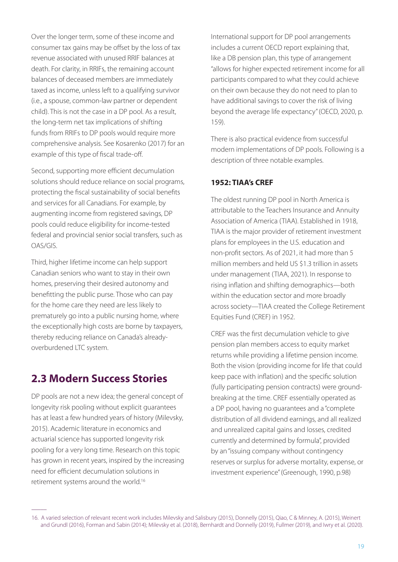Over the longer term, some of these income and consumer tax gains may be offset by the loss of tax revenue associated with unused RRIF balances at death. For clarity, in RRIFs, the remaining account balances of deceased members are immediately taxed as income, unless left to a qualifying survivor (i.e., a spouse, common-law partner or dependent child). This is not the case in a DP pool. As a result, the long-term net tax implications of shifting funds from RRIFs to DP pools would require more comprehensive analysis. See Kosarenko (2017) for an example of this type of fiscal trade-off.

Second, supporting more efficient decumulation solutions should reduce reliance on social programs, protecting the fiscal sustainability of social benefits and services for all Canadians. For example, by augmenting income from registered savings, DP pools could reduce eligibility for income-tested federal and provincial senior social transfers, such as OAS/GIS.

Third, higher lifetime income can help support Canadian seniors who want to stay in their own homes, preserving their desired autonomy and benefitting the public purse. Those who can pay for the home care they need are less likely to prematurely go into a public nursing home, where the exceptionally high costs are borne by taxpayers, thereby reducing reliance on Canada's alreadyoverburdened LTC system.

### **2.3 Modern Success Stories**

DP pools are not a new idea; the general concept of longevity risk pooling without explicit guarantees has at least a few hundred years of history (Milevsky, 2015). Academic literature in economics and actuarial science has supported longevity risk pooling for a very long time. Research on this topic has grown in recent years, inspired by the increasing need for efficient decumulation solutions in retirement systems around the world.16

 $\overline{\phantom{a}}$ 

International support for DP pool arrangements includes a current OECD report explaining that, like a DB pension plan, this type of arrangement "allows for higher expected retirement income for all participants compared to what they could achieve on their own because they do not need to plan to have additional savings to cover the risk of living beyond the average life expectancy" (OECD, 2020, p. 159).

There is also practical evidence from successful modern implementations of DP pools. Following is a description of three notable examples.

#### **1952: TIAA's CREF**

The oldest running DP pool in North America is attributable to the Teachers Insurance and Annuity Association of America (TIAA). Established in 1918, TIAA is the major provider of retirement investment plans for employees in the U.S. education and non-profit sectors. As of 2021, it had more than 5 million members and held US \$1.3 trillion in assets under management (TIAA, 2021). In response to rising inflation and shifting demographics—both within the education sector and more broadly across society—TIAA created the College Retirement Equities Fund (CREF) in 1952.

CREF was the first decumulation vehicle to give pension plan members access to equity market returns while providing a lifetime pension income. Both the vision (providing income for life that could keep pace with inflation) and the specific solution (fully participating pension contracts) were groundbreaking at the time. CREF essentially operated as a DP pool, having no guarantees and a "complete distribution of all dividend earnings, and all realized and unrealized capital gains and losses, credited currently and determined by formula", provided by an "issuing company without contingency reserves or surplus for adverse mortality, expense, or investment experience" (Greenough, 1990, p.98)

<sup>16.</sup> A varied selection of relevant recent work includes Milevsky and Salisbury (2015), Donnelly (2015), Qiao, C & Minney, A. (2015), Weinert and Grundl (2016), Forman and Sabin (2014); Milevsky et al. (2018), Bernhardt and Donnelly (2019), Fullmer (2019), and Iwry et al. (2020).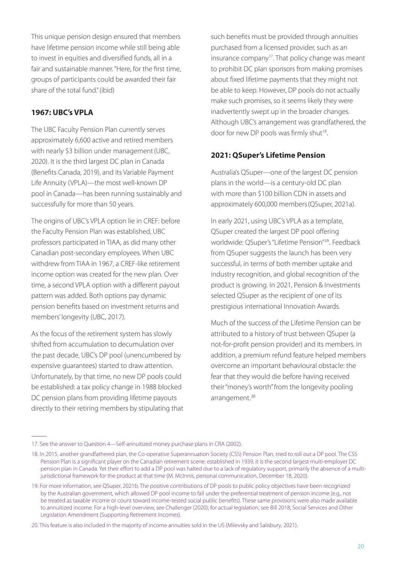This unique pension design ensured that members have lifetime pension income while still being able to invest in equities and diversified funds, all in a fair and sustainable manner. "Here, for the first time, groups of participants could be awarded their fair share of the total fund." (ibid)

#### **1967: UBC's VPLA**

The UBC Faculty Pension Plan currently serves approximately 6,600 active and retired members with nearly \$3 billion under management (UBC, 2020). It is the third largest DC plan in Canada (Benefits Canada, 2019), and its Variable Payment Life Annuity (VPLA)—the most well-known DP pool in Canada—has been running sustainably and successfully for more than 50 years.

The origins of UBC's VPLA option lie in CREF: before the Faculty Pension Plan was established, UBC professors participated in TIAA, as did many other Canadian post-secondary employees. When UBC withdrew from TIAA in 1967, a CREF-like retirement income option was created for the new plan. Over time, a second VPLA option with a different payout pattern was added. Both options pay dynamic pension benefits based on investment returns and members' longevity (UBC, 2017).

As the focus of the retirement system has slowly shifted from accumulation to decumulation over the past decade, UBC's DP pool (unencumbered by expensive guarantees) started to draw attention. Unfortunately, by that time, no new DP pools could be established: a tax policy change in 1988 blocked DC pension plans from providing lifetime payouts directly to their retiring members by stipulating that

 $\overline{\phantom{a}}$ 

such benefits must be provided through annuities purchased from a licensed provider, such as an insurance company<sup>17</sup>. That policy change was meant to prohibit DC plan sponsors from making promises about fixed lifetime payments that they might not be able to keep. However, DP pools do not actually make such promises, so it seems likely they were inadvertently swept up in the broader changes. Although UBC's arrangement was grandfathered, the door for new DP pools was firmly shut<sup>18</sup>.

#### **2021: QSuper's Lifetime Pension**

Australia's QSuper—one of the largest DC pension plans in the world—is a century-old DC plan with more than \$100 billion CDN in assets and approximately 600,000 members(QSuper, 2021a).

In early 2021, using UBC's VPLA as a template, QSuper created the largest DP pool offering worldwide: QSuper's "Lifetime Pension"<sup>19</sup>. Feedback from QSuper suggests the launch has been very successful, in terms of both member uptake and industry recognition, and global recognition of the product is growing. In 2021, Pension & Investments selected QSuper as the recipient of one of its prestigious international Innovation Awards.

Much of the success of the Lifetime Pension can be attributed to a history of trust between QSuper (a not-for-profit pension provider) and its members. In addition, a premium refund feature helped members overcome an important behavioural obstacle: the fear that they would die before having received their "money's worth" from the longevity pooling arrangement. 20

20. This feature is also included in the majority of income annuities sold in the US (Milevsky and Salisbury, 2021).

<sup>17.</sup> See the answer to Question 4—Self-annuitized money purchase plans in CRA (2002).

<sup>18.</sup> In 2015, another grandfathered plan, the Co-operative Superannuation Society (CSS) Pension Plan, tried to roll out a DP pool. The CSS Pension Plan is a significant player on the Canadian retirement scene: established in 1939, it is the second largest multi-employer DC pension plan in Canada. Yet their effort to add a DP pool was halted due to a lack of regulatory support, primarily the absence of a multijurisdictional framework for the product at that time (M. McInnis, personal communication, December 18, 2020).

<sup>19.</sup> For more information, see QSuper, 2021b. The positive contributions of DP pools to public policy objectives have been recognized by the Australian government, which allowed DP pool income to fall under the preferential treatment of pension income (e.g., not be treated as taxable income or count toward income-tested social public benefits). These same provisions were also made available to annuitized income. For a high-level overview, see Challenger (2020); for actual legislation, see Bill 2018, Social Services and Other Legislation Amendment (Supporting Retirement Incomes).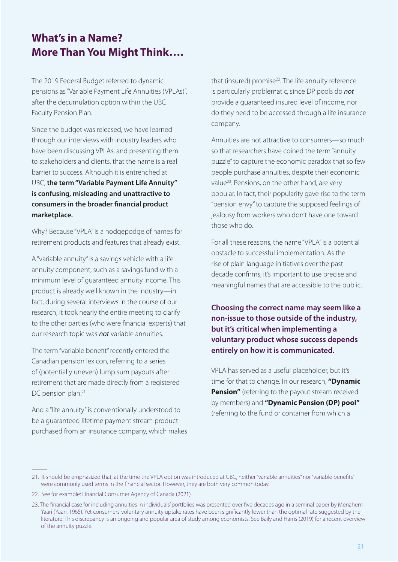# **What's in a Name? More Than You Might Think….**

The 2019 Federal Budget referred to dynamic pensions as "Variable Payment Life Annuities (VPLAs)", after the decumulation option within the UBC Faculty Pension Plan.

Since the budget was released, we have learned through our interviews with industry leaders who have been discussing VPLAs, and presenting them to stakeholders and clients, that the name is a real barrier to success. Although it is entrenched at UBC, **the term "Variable Payment Life Annuity" is confusing, misleading and unattractive to consumers in the broader financial product marketplace.**

Why? Because "VPLA" is a hodgepodge of names for retirement products and features that already exist.

A "variable annuity" is a savings vehicle with a life annuity component, such as a savings fund with a minimum level of guaranteed annuity income. This product is already well known in the industry—in fact, during several interviews in the course of our research, it took nearly the entire meeting to clarify to the other parties (who were financial experts) that our research topic was *not* variable annuities.

The term "variable benefit" recently entered the Canadian pension lexicon, referring to a series of (potentially uneven) lump sum payouts after retirement that are made directly from a registered DC pension plan.<sup>21</sup>

And a "life annuity" is conventionally understood to be a guaranteed lifetime payment stream product purchased from an insurance company, which makes that (insured) promise<sup>22</sup>. The life annuity reference is particularly problematic, since DP pools do *not* provide a guaranteed insured level of income, nor do they need to be accessed through a life insurance company.

Annuities are not attractive to consumers—so much so that researchers have coined the term "annuity puzzle" to capture the economic paradox that so few people purchase annuities, despite their economic value<sup>23</sup>. Pensions, on the other hand, are very popular. In fact, their popularity gave rise to the term "pension envy" to capture the supposed feelings of jealousy from workers who don't have one toward those who do.

For all these reasons, the name "VPLA" is a potential obstacle to successful implementation. As the rise of plain language initiatives over the past decade confirms, it's important to use precise and meaningful names that are accessible to the public.

**Choosing the correct name may seem like a non-issue to those outside of the industry, but it's critical when implementing a voluntary product whose success depends entirely on how it is communicated.**

VPLA has served as a useful placeholder, but it's time for that to change. In our research, **"Dynamic Pension"** (referring to the payout stream received by members) and **"Dynamic Pension (DP) pool"** (referring to the fund or container from which a

 $\overline{\phantom{a}}$ 

<sup>21.</sup> It should be emphasized that, at the time the VPLA option was introduced at UBC, neither "variable annuities" nor "variable benefits" were commonly used terms in the financial sector. However, they are both very common today.

<sup>22.</sup> See for example: Financial Consumer Agency of Canada (2021)

<sup>23.</sup> The financial case for including annuities in individuals' portfolios was presented over five decades ago in a seminal paper by Menahem Yaari (Yaari, 1965). Yet consumers' voluntary annuity uptake rates have been significantly lower than the optimal rate suggested by the literature. This discrepancy is an ongoing and popular area of study among economists. See Baily and Harris (2019) for a recent overview of the annuity puzzle.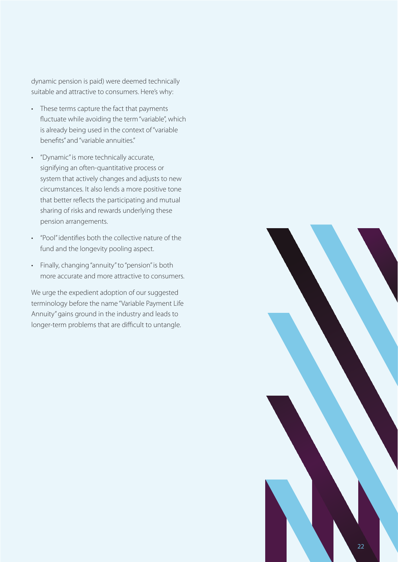dynamic pension is paid) were deemed technically suitable and attractive to consumers. Here's why:

- • These terms capture the fact that payments fluctuate while avoiding the term "variable", which is already being used in the context of "variable benefits" and "variable annuities."
- "Dynamic" is more technically accurate, signifying an often-quantitative process or system that actively changes and adjusts to new circumstances. It also lends a more positive tone that better reflects the participating and mutual sharing of risks and rewards underlying these pension arrangements.
- • "Pool" identifies both the collective nature of the fund and the longevity pooling aspect.
- • Finally, changing "annuity" to "pension" is both more accurate and more attractive to consumers.

We urge the expedient adoption of our suggested terminology before the name "Variable Payment Life Annuity" gains ground in the industry and leads to longer-term problems that are difficult to untangle.

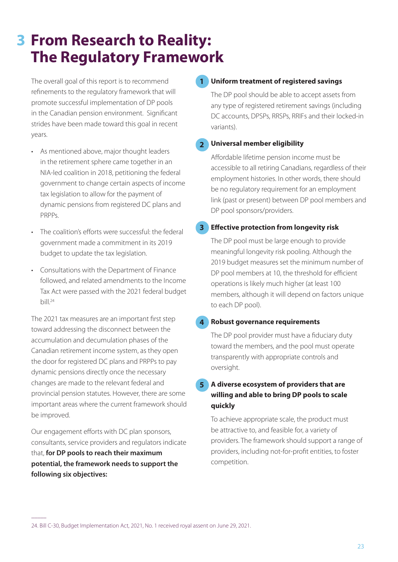# **From Research to Reality: 3The Regulatory Framework**

The overall goal of this report is to recommend refinements to the regulatory framework that will promote successful implementation of DP pools in the Canadian pension environment. Significant strides have been made toward this goal in recent years.

- • As mentioned above, major thought leaders in the retirement sphere came together in an NIA-led coalition in 2018, petitioning the federal government to change certain aspects of income tax legislation to allow for the payment of dynamic pensions from registered DC plans and PRPPs.
- The coalition's efforts were successful: the federal government made a commitment in its 2019 budget to update the tax legislation.
- • Consultations with the Department of Finance followed, and related amendments to the Income Tax Act were passed with the 2021 federal budget  $\frac{1}{24}$

The 2021 tax measures are an important first step toward addressing the disconnect between the accumulation and decumulation phases of the Canadian retirement income system, as they open the door for registered DC plans and PRPPs to pay dynamic pensions directly once the necessary changes are made to the relevant federal and provincial pension statutes. However, there are some important areas where the current framework should be improved.

Our engagement efforts with DC plan sponsors, consultants, service providers and regulators indicate that, **for DP pools to reach their maximum potential, the framework needs to support the following six objectives:**

 $\overline{\phantom{a}}$ 

#### **Uniform treatment of registered savings 1**

The DP pool should be able to accept assets from any type of registered retirement savings (including DC accounts, DPSPs, RRSPs, RRIFs and their locked-in variants).

#### **Universal member eligibility 2**

Affordable lifetime pension income must be accessible to all retiring Canadians, regardless of their employment histories. In other words, there should be no regulatory requirement for an employment link (past or present) between DP pool members and DP pool sponsors/providers.

#### **Effective protection from longevity risk 3**

The DP pool must be large enough to provide meaningful longevity risk pooling. Although the 2019 budget measures set the minimum number of DP pool members at 10, the threshold for efficient operations is likely much higher (at least 100 members, although it will depend on factors unique to each DP pool).

#### **Robust governance requirements 4**

The DP pool provider must have a fiduciary duty toward the members, and the pool must operate transparently with appropriate controls and oversight.

#### **A diverse ecosystem of providers that are willing and able to bring DP pools to scale quickly 5**

To achieve appropriate scale, the product must be attractive to, and feasible for, a variety of providers. The framework should support a range of providers, including not-for-profit entities, to foster competition.

24. Bill C-30, Budget Implementation Act, 2021, No. 1 received royal assent on June 29, 2021.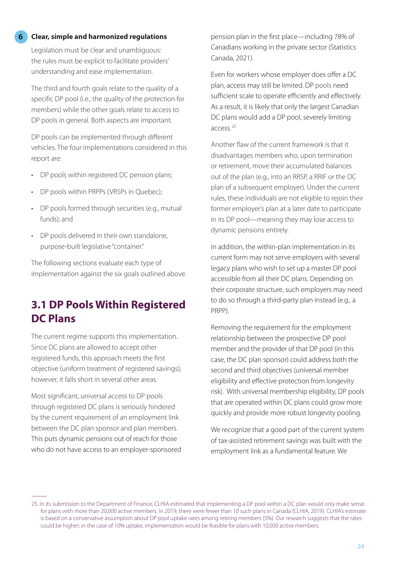#### **Clear, simple and harmonized regulations**

**6**

Legislation must be clear and unambiguous: the rules must be explicit to facilitate providers' understanding and ease implementation.

The third and fourth goals relate to the quality of a specific DP pool (i.e., the quality of the protection for members) while the other goals relate to access to DP pools in general. Both aspects are important.

DP pools can be implemented through different vehicles. The four implementations considered in this report are:

- DP pools within registered DC pension plans;
- DP pools within PRPPs (VRSPs in Quebec);
- DP pools formed through securities (e.g., mutual funds); and
- DP pools delivered in their own standalone, purpose-built legislative "container."

The following sections evaluate each type of implementation against the six goals outlined above.

### **3.1 DP Pools Within Registered DC Plans**

The current regime supports this implementation. Since DC plans are allowed to accept other registered funds, this approach meets the first objective (uniform treatment of registered savings); however, it falls short in several other areas.

Most significant, universal access to DP pools through registered DC plans is seriously hindered by the current requirement of an employment link between the DC plan sponsor and plan members. This puts dynamic pensions out of reach for those who do not have access to an employer-sponsored

 $\overline{\phantom{a}}$ 

pension plan in the first place—including 78% of Canadians working in the private sector (Statistics Canada, 2021).

Even for workers whose employer does offer a DC plan, access may still be limited. DP pools need sufficient scale to operate efficiently and effectively. As a result, it is likely that only the largest Canadian DC plans would add a DP pool, severely limiting access. 25

Another flaw of the current framework is that it disadvantages members who, upon termination or retirement, move their accumulated balances out of the plan (e.g., into an RRSP, a RRIF or the DC plan of a subsequent employer). Under the current rules, these individuals are not eligible to rejoin their former employer's plan at a later date to participate in its DP pool—meaning they may lose access to dynamic pensions entirely.

In addition, the within-plan implementation in its current form may not serve employers with several legacy plans who wish to set up a master DP pool accessible from all their DC plans. Depending on their corporate structure, such employers may need to do so through a third-party plan instead (e.g., a PRPP).

Removing the requirement for the employment relationship between the prospective DP pool member and the provider of that DP pool (in this case, the DC plan sponsor) could address both the second and third objectives (universal member eligibility and effective protection from longevity risk). With universal membership eligibility, DP pools that are operated within DC plans could grow more quickly and provide more robust longevity pooling.

We recognize that a good part of the current system of tax-assisted retirement savings was built with the employment link as a fundamental feature. We

<sup>25.</sup> In its submission to the Department of Finance, CLHIA estimated that implementing a DP pool within a DC plan would only make sense for plans with more than 20,000 active members. In 2019, there were fewer than 10 such plans in Canada (CLHIA, 2019). CLHIA's estimate is based on a conservative assumption about DP pool uptake rates among retiring members (5%). Our research suggests that the rates could be higher; in the case of 10% uptake, implementation would be feasible for plans with 10,000 active members.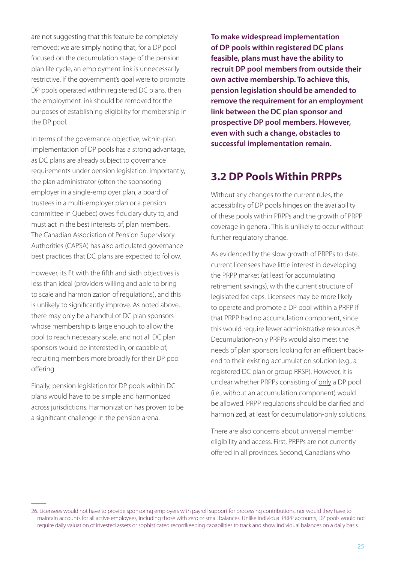are not suggesting that this feature be completely removed; we are simply noting that, for a DP pool focused on the decumulation stage of the pension plan life cycle, an employment link is unnecessarily restrictive. If the government's goal were to promote DP pools operated within registered DC plans, then the employment link should be removed for the purposes of establishing eligibility for membership in the DP pool.

In terms of the governance objective, within-plan implementation of DP pools has a strong advantage, as DC plans are already subject to governance requirements under pension legislation. Importantly, the plan administrator (often the sponsoring employer in a single-employer plan, a board of trustees in a multi-employer plan or a pension committee in Quebec) owes fiduciary duty to, and must act in the best interests of, plan members. The Canadian Association of Pension Supervisory Authorities (CAPSA) has also articulated governance best practices that DC plans are expected to follow.

However, its fit with the fifth and sixth objectives is less than ideal (providers willing and able to bring to scale and harmonization of regulations), and this is unlikely to significantly improve. As noted above, there may only be a handful of DC plan sponsors whose membership is large enough to allow the pool to reach necessary scale, and not all DC plan sponsors would be interested in, or capable of, recruiting members more broadly for their DP pool offering.

Finally, pension legislation for DP pools within DC plans would have to be simple and harmonized across jurisdictions. Harmonization has proven to be a significant challenge in the pension arena.

 $\overline{\phantom{a}}$ 

**To make widespread implementation of DP pools within registered DC plans feasible, plans must have the ability to recruit DP pool members from outside their own active membership. To achieve this, pension legislation should be amended to remove the requirement for an employment link between the DC plan sponsor and prospective DP pool members. However, even with such a change, obstacles to successful implementation remain.** 

### **3.2 DP Pools Within PRPPs**

Without any changes to the current rules, the accessibility of DP pools hinges on the availability of these pools within PRPPs and the growth of PRPP coverage in general. This is unlikely to occur without further regulatory change.

As evidenced by the slow growth of PRPPs to date, current licensees have little interest in developing the PRPP market (at least for accumulating retirement savings), with the current structure of legislated fee caps. Licensees may be more likely to operate and promote a DP pool within a PRPP if that PRPP had no accumulation component, since this would require fewer administrative resources.<sup>26</sup> Decumulation-only PRPPs would also meet the needs of plan sponsors looking for an efficient backend to their existing accumulation solution (e.g., a registered DC plan or group RRSP). However, it is unclear whether PRPPs consisting of only a DP pool (i.e., without an accumulation component) would be allowed. PRPP regulations should be clarified and harmonized, at least for decumulation-only solutions.

There are also concerns about universal member eligibility and access. First, PRPPs are not currently offered in all provinces. Second, Canadians who

<sup>26.</sup> Licensees would not have to provide sponsoring employers with payroll support for processing contributions, nor would they have to maintain accounts for all active employees, including those with zero or small balances. Unlike individual PRPP accounts, DP pools would not require daily valuation of invested assets or sophisticated recordkeeping capabilities to track and show individual balances on a daily basis.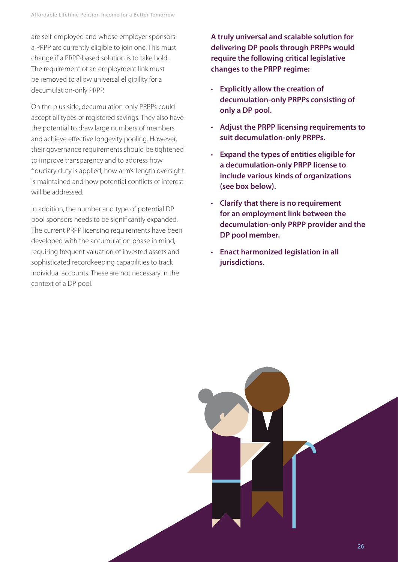are self-employed and whose employer sponsors a PRPP are currently eligible to join one. This must change if a PRPP-based solution is to take hold. The requirement of an employment link must be removed to allow universal eligibility for a decumulation-only PRPP.

On the plus side, decumulation-only PRPPs could accept all types of registered savings. They also have the potential to draw large numbers of members and achieve effective longevity pooling. However, their governance requirements should be tightened to improve transparency and to address how fiduciary duty is applied, how arm's-length oversight is maintained and how potential conflicts of interest will be addressed.

In addition, the number and type of potential DP pool sponsors needs to be significantly expanded. The current PRPP licensing requirements have been developed with the accumulation phase in mind, requiring frequent valuation of invested assets and sophisticated recordkeeping capabilities to track individual accounts. These are not necessary in the context of a DP pool.

**A truly universal and scalable solution for delivering DP pools through PRPPs would require the following critical legislative changes to the PRPP regime:**

- **Explicitly allow the creation of decumulation-only PRPPs consisting of only a DP pool.**
- **Adjust the PRPP licensing requirements to suit decumulation-only PRPPs.**
- **Expand the types of entities eligible for a decumulation-only PRPP license to include various kinds of organizations (see box below).**
- **Clarify that there is no requirement for an employment link between the decumulation-only PRPP provider and the DP pool member.**
- **Enact harmonized legislation in all jurisdictions.**

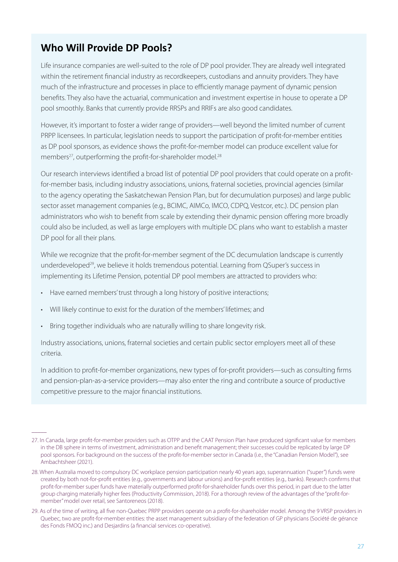### **Who Will Provide DP Pools?**

Life insurance companies are well-suited to the role of DP pool provider. They are already well integrated within the retirement financial industry as recordkeepers, custodians and annuity providers. They have much of the infrastructure and processes in place to efficiently manage payment of dynamic pension benefits. They also have the actuarial, communication and investment expertise in house to operate a DP pool smoothly. Banks that currently provide RRSPs and RRIFs are also good candidates.

However, it's important to foster a wider range of providers—well beyond the limited number of current PRPP licensees. In particular, legislation needs to support the participation of profit-for-member entities as DP pool sponsors, as evidence shows the profit-for-member model can produce excellent value for members<sup>27</sup>, outperforming the profit-for-shareholder model.<sup>28</sup>

Our research interviews identified a broad list of potential DP pool providers that could operate on a profitfor-member basis, including industry associations, unions, fraternal societies, provincial agencies (similar to the agency operating the Saskatchewan Pension Plan, but for decumulation purposes) and large public sector asset management companies (e.g., BCIMC, AIMCo, IMCO, CDPQ, Vestcor, etc.). DC pension plan administrators who wish to benefit from scale by extending their dynamic pension offering more broadly could also be included, as well as large employers with multiple DC plans who want to establish a master DP pool for all their plans.

While we recognize that the profit-for-member segment of the DC decumulation landscape is currently underdeveloped<sup>29</sup>, we believe it holds tremendous potential. Learning from QSuper's success in implementing its Lifetime Pension, potential DP pool members are attracted to providers who:

- Have earned members' trust through a long history of positive interactions;
- Will likely continue to exist for the duration of the members' lifetimes; and
- Bring together individuals who are naturally willing to share longevity risk.

 $\overline{\phantom{a}}$ 

Industry associations, unions, fraternal societies and certain public sector employers meet all of these criteria.

In addition to profit-for-member organizations, new types of for-profit providers—such as consulting firms and pension-plan-as-a-service providers—may also enter the ring and contribute a source of productive competitive pressure to the major financial institutions.

<sup>27.</sup> In Canada, large profit-for-member providers such as OTPP and the CAAT Pension Plan have produced significant value for members in the DB sphere in terms of investment, administration and benefit management; their successes could be replicated by large DP pool sponsors. For background on the success of the profit-for-member sector in Canada (i.e., the "Canadian Pension Model"), see Ambachtsheer (2021).

<sup>28.</sup> When Australia moved to compulsory DC workplace pension participation nearly 40 years ago, superannuation ("super") funds were created by both not-for-profit entities (e.g., governments and labour unions) and for-profit entities (e.g., banks). Research confirms that profit-for-member super funds have materially outperformed profit-for-shareholder funds over this period, in part due to the latter group charging materially higher fees (Productivity Commission, 2018). For a thorough review of the advantages of the "profit-formember" model over retail, see Santoreneos (2018).

<sup>29.</sup> As of the time of writing, all five non-Quebec PRPP providers operate on a profit-for-shareholder model. Among the 9 VRSP providers in Quebec, two are profit-for-member entities: the asset management subsidiary of the federation of GP physicians (Société de gérance des Fonds FMOQ inc.) and Desjardins (a financial services co-operative).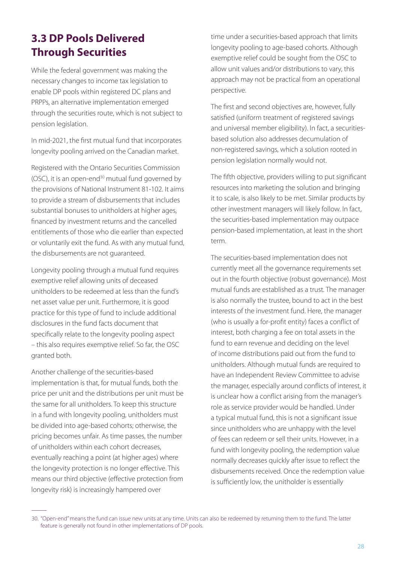# **3.3 DP Pools Delivered Through Securities**

While the federal government was making the necessary changes to income tax legislation to enable DP pools within registered DC plans and PRPPs, an alternative implementation emerged through the securities route, which is not subject to pension legislation.

In mid-2021, the first mutual fund that incorporates longevity pooling arrived on the Canadian market.

Registered with the Ontario Securities Commission (OSC), it is an open-end<sup>30</sup> mutual fund governed by the provisions of National Instrument 81-102. It aims to provide a stream of disbursements that includes substantial bonuses to unitholders at higher ages, financed by investment returns and the cancelled entitlements of those who die earlier than expected or voluntarily exit the fund. As with any mutual fund, the disbursements are not guaranteed.

Longevity pooling through a mutual fund requires exemptive relief allowing units of deceased unitholders to be redeemed at less than the fund's net asset value per unit. Furthermore, it is good practice for this type of fund to include additional disclosures in the fund facts document that specifically relate to the longevity pooling aspect – this also requires exemptive relief. So far, the OSC granted both.

Another challenge of the securities-based implementation is that, for mutual funds, both the price per unit and the distributions per unit must be the same for all unitholders. To keep this structure in a fund with longevity pooling, unitholders must be divided into age-based cohorts; otherwise, the pricing becomes unfair. As time passes, the number of unitholders within each cohort decreases, eventually reaching a point (at higher ages) where the longevity protection is no longer effective. This means our third objective (effective protection from longevity risk) is increasingly hampered over

 $\overline{\phantom{a}}$ 

time under a securities-based approach that limits longevity pooling to age-based cohorts. Although exemptive relief could be sought from the OSC to allow unit values and/or distributions to vary, this approach may not be practical from an operational perspective.

The first and second objectives are, however, fully satisfied (uniform treatment of registered savings and universal member eligibility). In fact, a securitiesbased solution also addresses decumulation of non-registered savings, which a solution rooted in pension legislation normally would not.

The fifth objective, providers willing to put significant resources into marketing the solution and bringing it to scale, is also likely to be met. Similar products by other investment managers will likely follow. In fact, the securities-based implementation may outpace pension-based implementation, at least in the short term.

The securities-based implementation does not currently meet all the governance requirements set out in the fourth objective (robust governance). Most mutual funds are established as a trust. The manager is also normally the trustee, bound to act in the best interests of the investment fund. Here, the manager (who is usually a for-profit entity) faces a conflict of interest, both charging a fee on total assets in the fund to earn revenue and deciding on the level of income distributions paid out from the fund to unitholders. Although mutual funds are required to have an Independent Review Committee to advise the manager, especially around conflicts of interest, it is unclear how a conflict arising from the manager's role as service provider would be handled. Under a typical mutual fund, this is not a significant issue since unitholders who are unhappy with the level of fees can redeem or sell their units. However, in a fund with longevity pooling, the redemption value normally decreases quickly after issue to reflect the disbursements received. Once the redemption value is sufficiently low, the unitholder is essentially

<sup>30. &</sup>quot;Open-end" means the fund can issue new units at any time. Units can also be redeemed by returning them to the fund. The latter feature is generally not found in other implementations of DP pools.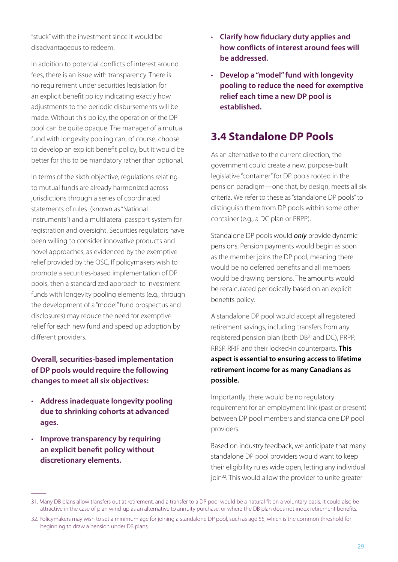"stuck" with the investment since it would be disadvantageous to redeem.

In addition to potential conflicts of interest around fees, there is an issue with transparency. There is no requirement under securities legislation for an explicit benefit policy indicating exactly how adjustments to the periodic disbursements will be made. Without this policy, the operation of the DP pool can be quite opaque. The manager of a mutual fund with longevity pooling can, of course, choose to develop an explicit benefit policy, but it would be better for this to be mandatory rather than optional.

In terms of the sixth objective, regulations relating to mutual funds are already harmonized across jurisdictions through a series of coordinated statements of rules (known as "National Instruments") and a multilateral passport system for registration and oversight. Securities regulators have been willing to consider innovative products and novel approaches, as evidenced by the exemptive relief provided by the OSC. If policymakers wish to promote a securities-based implementation of DP pools, then a standardized approach to investment funds with longevity pooling elements (e.g., through the development of a "model" fund prospectus and disclosures) may reduce the need for exemptive relief for each new fund and speed up adoption by different providers.

#### **Overall, securities-based implementation of DP pools would require the following changes to meet all six objectives:**

- • **Address inadequate longevity pooling due to shrinking cohorts at advanced ages.**
- **Improve transparency by requiring an explicit benefit policy without discretionary elements.**

 $\overline{\phantom{a}}$ 

- • **Clarify how fiduciary duty applies and how conflicts of interest around fees will be addressed.**
- • **Develop a "model" fund with longevity pooling to reduce the need for exemptive relief each time a new DP pool is established.**

### **3.4 Standalone DP Pools**

As an alternative to the current direction, the government could create a new, purpose-built legislative "container" for DP pools rooted in the pension paradigm—one that, by design, meets all six criteria. We refer to these as "standalone DP pools" to distinguish them from DP pools within some other container (e.g., a DC plan or PRPP).

Standalone DP pools would *only* provide dynamic pensions. Pension payments would begin as soon as the member joins the DP pool, meaning there would be no deferred benefits and all members would be drawing pensions. The amounts would be recalculated periodically based on an explicit benefits policy.

A standalone DP pool would accept all registered retirement savings, including transfers from any registered pension plan (both DB<sup>31</sup> and DC), PRPP, RRSP, RRIF and their locked-in counterparts. **This aspect is essential to ensuring access to lifetime retirement income for as many Canadians as possible.**

Importantly, there would be no regulatory requirement for an employment link (past or present) between DP pool members and standalone DP pool providers.

Based on industry feedback, we anticipate that many standalone DP pool providers would want to keep their eligibility rules wide open, letting any individual join<sup>32</sup>. This would allow the provider to unite greater

<sup>31.</sup> Many DB plans allow transfers out at retirement, and a transfer to a DP pool would be a natural fit on a voluntary basis. It could also be attractive in the case of plan wind-up as an alternative to annuity purchase, or where the DB plan does not index retirement benefits.

<sup>32.</sup> Policymakers may wish to set a minimum age for joining a standalone DP pool, such as age 55, which is the common threshold for beginning to draw a pension under DB plans.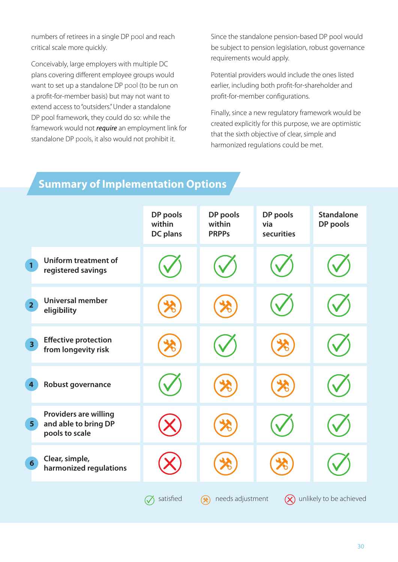numbers of retirees in a single DP pool and reach critical scale more quickly.

Conceivably, large employers with multiple DC plans covering different employee groups would want to set up a standalone DP pool (to be run on a profit-for-member basis) but may not want to extend access to "outsiders." Under a standalone DP pool framework, they could do so: while the framework would not *require* an employment link for standalone DP pools, it also would not prohibit it.

Since the standalone pension-based DP pool would be subject to pension legislation, robust governance requirements would apply.

Potential providers would include the ones listed earlier, including both profit-for-shareholder and profit-for-member configurations.

Finally, since a new regulatory framework would be created explicitly for this purpose, we are optimistic that the sixth objective of clear, simple and harmonized regulations could be met.

### **Summary of Implementation Options**

|                                                                                          | DP pools<br>within<br><b>DC</b> plans | DP pools<br>within<br><b>PRPPs</b> | DP pools<br>via<br>securities | <b>Standalone</b><br>DP pools |
|------------------------------------------------------------------------------------------|---------------------------------------|------------------------------------|-------------------------------|-------------------------------|
| <b>Uniform treatment of</b><br>$\mathbf{1}$<br>registered savings                        |                                       |                                    |                               |                               |
| <b>Universal member</b><br>$\overline{2}$<br>eligibility                                 |                                       |                                    |                               |                               |
| <b>Effective protection</b><br>3 <sup>1</sup><br>from longevity risk                     |                                       |                                    |                               |                               |
| Robust governance<br>4                                                                   |                                       |                                    |                               |                               |
| <b>Providers are willing</b><br>and able to bring DP<br>5 <sup>1</sup><br>pools to scale |                                       |                                    |                               |                               |
| Clear, simple,<br>$6\overline{6}$<br>harmonized regulations                              |                                       |                                    |                               |                               |
|                                                                                          | satisfied                             | needs adjustment<br>⁄⊁ે            | $(\boldsymbol{\mathsf{X}})$   | unlikely to be achieved       |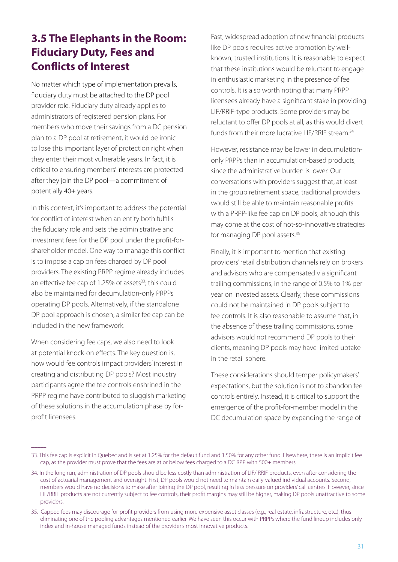# **3.5 The Elephants in the Room: Fiduciary Duty, Fees and Conflicts of Interest**

No matter which type of implementation prevails, fiduciary duty must be attached to the DP pool provider role. Fiduciary duty already applies to administrators of registered pension plans. For members who move their savings from a DC pension plan to a DP pool at retirement, it would be ironic to lose this important layer of protection right when they enter their most vulnerable years. In fact, it is critical to ensuring members' interests are protected after they join the DP pool—a commitment of potentially 40+ years.

In this context, it's important to address the potential for conflict of interest when an entity both fulfills the fiduciary role and sets the administrative and investment fees for the DP pool under the profit-forshareholder model. One way to manage this conflict is to impose a cap on fees charged by DP pool providers. The existing PRPP regime already includes an effective fee cap of 1.25% of assets $33$ ; this could also be maintained for decumulation-only PRPPs operating DP pools. Alternatively, if the standalone DP pool approach is chosen, a similar fee cap can be included in the new framework.

When considering fee caps, we also need to look at potential knock-on effects. The key question is, how would fee controls impact providers' interest in creating and distributing DP pools? Most industry participants agree the fee controls enshrined in the PRPP regime have contributed to sluggish marketing of these solutions in the accumulation phase by forprofit licensees.

 $\overline{\phantom{a}}$ 

Fast, widespread adoption of new financial products like DP pools requires active promotion by wellknown, trusted institutions. It is reasonable to expect that these institutions would be reluctant to engage in enthusiastic marketing in the presence of fee controls. It is also worth noting that many PRPP licensees already have a significant stake in providing LIF/RRIF-type products. Some providers may be reluctant to offer DP pools at all, as this would divert funds from their more lucrative LIF/RRIF stream.<sup>34</sup>

However, resistance may be lower in decumulationonly PRPPs than in accumulation-based products, since the administrative burden is lower. Our conversations with providers suggest that, at least in the group retirement space, traditional providers would still be able to maintain reasonable profits with a PRPP-like fee cap on DP pools, although this may come at the cost of not-so-innovative strategies for managing DP pool assets.<sup>35</sup>

Finally, it is important to mention that existing providers' retail distribution channels rely on brokers and advisors who are compensated via significant trailing commissions, in the range of 0.5% to 1% per year on invested assets. Clearly, these commissions could not be maintained in DP pools subject to fee controls. It is also reasonable to assume that, in the absence of these trailing commissions, some advisors would not recommend DP pools to their clients, meaning DP pools may have limited uptake in the retail sphere.

These considerations should temper policymakers' expectations, but the solution is not to abandon fee controls entirely. Instead, it is critical to support the emergence of the profit-for-member model in the DC decumulation space by expanding the range of

<sup>33.</sup> This fee cap is explicit in Quebec and is set at 1.25% for the default fund and 1.50% for any other fund. Elsewhere, there is an implicit fee cap, as the provider must prove that the fees are at or below fees charged to a DC RPP with 500+ members.

<sup>34.</sup> In the long run, administration of DP pools should be less costly than administration of LIF/ RRIF products, even after considering the cost of actuarial management and oversight. First, DP pools would not need to maintain daily-valued individual accounts. Second, members would have no decisions to make after joining the DP pool, resulting in less pressure on providers' call centres. However, since LIF/RRIF products are not currently subject to fee controls, their profit margins may still be higher, making DP pools unattractive to some providers.

<sup>35.</sup> Capped fees may discourage for-profit providers from using more expensive asset classes (e.g., real estate, infrastructure, etc.), thus eliminating one of the pooling advantages mentioned earlier. We have seen this occur with PRPPs where the fund lineup includes only index and in-house managed funds instead of the provider's most innovative products.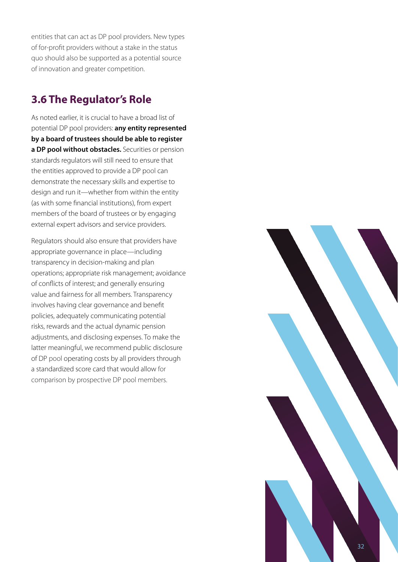entities that can act as DP pool providers. New types of for-profit providers without a stake in the status quo should also be supported as a potential source of innovation and greater competition.

### **3.6 The Regulator's Role**

As noted earlier, it is crucial to have a broad list of potential DP pool providers: **any entity represented by a board of trustees should be able to register a DP pool without obstacles.** Securities or pension standards regulators will still need to ensure that the entities approved to provide a DP pool can demonstrate the necessary skills and expertise to design and run it—whether from within the entity (as with some financial institutions), from expert members of the board of trustees or by engaging external expert advisors and service providers.

Regulators should also ensure that providers have appropriate governance in place—including transparency in decision-making and plan operations; appropriate risk management; avoidance of conflicts of interest; and generally ensuring value and fairness for all members. Transparency involves having clear governance and benefit policies, adequately communicating potential risks, rewards and the actual dynamic pension adjustments, and disclosing expenses. To make the latter meaningful, we recommend public disclosure of DP pool operating costs by all providers through a standardized score card that would allow for comparison by prospective DP pool members.

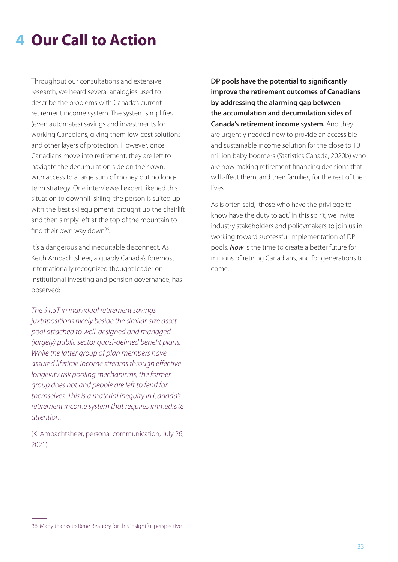# **4 Our Call to Action**

Throughout our consultations and extensive research, we heard several analogies used to describe the problems with Canada's current retirement income system. The system simplifies (even automates) savings and investments for working Canadians, giving them low-cost solutions and other layers of protection. However, once Canadians move into retirement, they are left to navigate the decumulation side on their own, with access to a large sum of money but no longterm strategy. One interviewed expert likened this situation to downhill skiing: the person is suited up with the best ski equipment, brought up the chairlift and then simply left at the top of the mountain to find their own way down<sup>36</sup>.

It's a dangerous and inequitable disconnect. As Keith Ambachtsheer, arguably Canada's foremost internationally recognized thought leader on institutional investing and pension governance, has observed:

*The \$1.5T in individual retirement savings juxtapositions nicely beside the similar-size asset pool attached to well-designed and managed (largely) public sector quasi-defined benefit plans. While the latter group of plan members have assured lifetime income streams through effective longevity risk pooling mechanisms, the former group does not and people are left to fend for themselves. This is a material inequity in Canada's retirement income system that requires immediate attention.* 

(K. Ambachtsheer, personal communication, July 26, 2021)

**DP pools have the potential to significantly improve the retirement outcomes of Canadians by addressing the alarming gap between the accumulation and decumulation sides of Canada's retirement income system.** And they are urgently needed now to provide an accessible and sustainable income solution for the close to 10 million baby boomers (Statistics Canada, 2020b) who are now making retirement financing decisions that will affect them, and their families, for the rest of their lives.

As is often said, "those who have the privilege to know have the duty to act." In this spirit, we invite industry stakeholders and policymakers to join us in working toward successful implementation of DP pools. *Now* is the time to create a better future for millions of retiring Canadians, and for generations to come.

 $\overline{\phantom{a}}$ 

<sup>36.</sup> Many thanks to René Beaudry for this insightful perspective.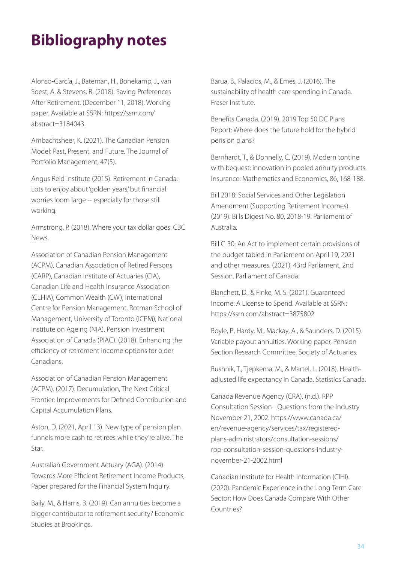# **Bibliography notes**

Alonso-García, J., Bateman, H., Bonekamp, J., van Soest, A. & Stevens, R. (2018). Saving Preferences After Retirement. (December 11, 2018). Working paper. Available at SSRN: https://ssrn.com/ abstract=3184043.

Ambachtsheer, K. (2021). The Canadian Pension Model: Past, Present, and Future. The Journal of Portfolio Management, 47(5).

Angus Reid Institute (2015). Retirement in Canada: Lots to enjoy about 'golden years,' but financial worries loom large -- especially for those still working.

Armstrong, P. (2018). Where your tax dollar goes. CBC News.

Association of Canadian Pension Management (ACPM), Canadian Association of Retired Persons (CARP), Canadian Institute of Actuaries (CIA), Canadian Life and Health Insurance Association (CLHIA), Common Wealth (CW), International Centre for Pension Management, Rotman School of Management, University of Toronto (ICPM), National Institute on Ageing (NIA), Pension Investment Association of Canada (PIAC). (2018). Enhancing the efficiency of retirement income options for older Canadians.

Association of Canadian Pension Management (ACPM). (2017). Decumulation, The Next Critical Frontier: Improvements for Defined Contribution and Capital Accumulation Plans.

Aston, D. (2021, April 13). New type of pension plan funnels more cash to retirees while they're alive. The Star.

Australian Government Actuary (AGA). (2014) Towards More Efficient Retirement Income Products, Paper prepared for the Financial System Inquiry.

Baily, M., & Harris, B. (2019). Can annuities become a bigger contributor to retirement security? Economic Studies at Brookings.

Barua, B., Palacios, M., & Emes, J. (2016). The sustainability of health care spending in Canada. Fraser Institute.

Benefits Canada. (2019). 2019 Top 50 DC Plans Report: Where does the future hold for the hybrid pension plans?

Bernhardt, T., & Donnelly, C. (2019). Modern tontine with bequest: innovation in pooled annuity products. Insurance: Mathematics and Economics, 86, 168-188.

Bill 2018: Social Services and Other Legislation Amendment (Supporting Retirement Incomes). (2019). Bills Digest No. 80, 2018-19. Parliament of Australia.

Bill C-30: An Act to implement certain provisions of the budget tabled in Parliament on April 19, 2021 and other measures. (2021). 43rd Parliament, 2nd Session. Parliament of Canada.

Blanchett, D., & Finke, M. S. (2021). Guaranteed Income: A License to Spend. Available at SSRN: https://ssrn.com/abstract=3875802

Boyle, P., Hardy, M., Mackay, A., & Saunders, D. (2015). Variable payout annuities. Working paper, Pension Section Research Committee, Society of Actuaries.

Bushnik, T., Tjepkema, M., & Martel, L. (2018). Healthadjusted life expectancy in Canada. Statistics Canada.

Canada Revenue Agency (CRA). (n.d.). RPP Consultation Session - Questions from the Industry November 21, 2002. https://www.canada.ca/ en/revenue-agency/services/tax/registeredplans-administrators/consultation-sessions/ rpp-consultation-session-questions-industrynovember-21-2002.html

Canadian Institute for Health Information (CIHI). (2020). Pandemic Experience in the Long-Term Care Sector: How Does Canada Compare With Other Countries?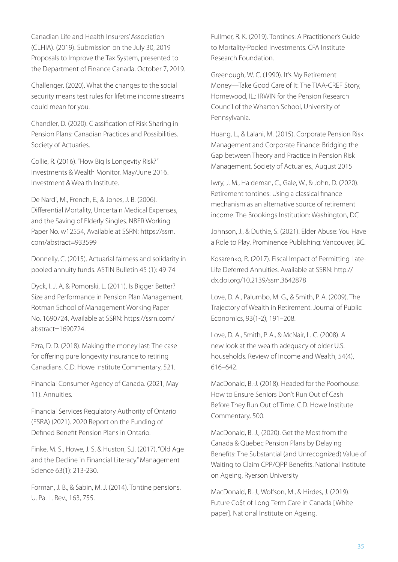Canadian Life and Health Insurers' Association (CLHIA). (2019). Submission on the July 30, 2019 Proposals to Improve the Tax System, presented to the Department of Finance Canada. October 7, 2019.

Challenger. (2020). What the changes to the social security means test rules for lifetime income streams could mean for you.

Chandler, D. (2020). Classification of Risk Sharing in Pension Plans: Canadian Practices and Possibilities. Society of Actuaries.

Collie, R. (2016). "How Big Is Longevity Risk?" Investments & Wealth Monitor, May/June 2016. Investment & Wealth Institute.

De Nardi, M., French, E., & Jones, J. B. (2006). Differential Mortality, Uncertain Medical Expenses, and the Saving of Elderly Singles. NBER Working Paper No. w12554, Available at SSRN: https://ssrn. com/abstract=933599

Donnelly, C. (2015). Actuarial fairness and solidarity in pooled annuity funds. ASTIN Bulletin 45 (1): 49-74

Dyck, I. J. A, & Pomorski, L. (2011). Is Bigger Better? Size and Performance in Pension Plan Management. Rotman School of Management Working Paper No. 1690724, Available at SSRN: https://ssrn.com/ abstract=1690724.

Ezra, D. D. (2018). Making the money last: The case for offering pure longevity insurance to retiring Canadians. C.D. Howe Institute Commentary, 521.

Financial Consumer Agency of Canada. (2021, May 11). Annuities.

Financial Services Regulatory Authority of Ontario (FSRA) (2021). 2020 Report on the Funding of Defined Benefit Pension Plans in Ontario.

Finke, M. S., Howe, J. S. & Huston, S.J. (2017). "Old Age and the Decline in Financial Literacy." Management Science 63(1): 213-230.

Forman, J. B., & Sabin, M. J. (2014). Tontine pensions. U. Pa. L. Rev., 163, 755.

Fullmer, R. K. (2019). Tontines: A Practitioner's Guide to Mortality-Pooled Investments. CFA Institute Research Foundation.

Greenough, W. C. (1990). It's My Retirement Money—Take Good Care of It: The TIAA-CREF Story, Homewood, IL.: IRWIN for the Pension Research Council of the Wharton School, University of Pennsylvania.

Huang, L., & Lalani, M. (2015). Corporate Pension Risk Management and Corporate Finance: Bridging the Gap between Theory and Practice in Pension Risk Management, Society of Actuaries., August 2015

Iwry, J. M., Haldeman, C., Gale, W., & John, D. (2020). Retirement tontines: Using a classical finance mechanism as an alternative source of retirement income. The Brookings Institution: Washington, DC

Johnson, J., & Duthie, S. (2021). Elder Abuse: You Have a Role to Play. Prominence Publishing: Vancouver, BC.

Kosarenko, R. (2017). Fiscal Impact of Permitting Late-Life Deferred Annuities. Available at SSRN: http:// dx.doi.org/10.2139/ssrn.3642878

Love, D. A., Palumbo, M. G., & Smith, P. A. (2009). The Trajectory of Wealth in Retirement. Journal of Public Economics, 93(1-2), 191–208.

Love, D. A., Smith, P. A., & McNair, L. C. (2008). A new look at the wealth adequacy of older U.S. households. Review of Income and Wealth, 54(4), 616–642.

MacDonald, B.-J. (2018). Headed for the Poorhouse: How to Ensure Seniors Don't Run Out of Cash Before They Run Out of Time. C.D. Howe Institute Commentary, 500.

MacDonald, B.-J., (2020). Get the Most from the Canada & Quebec Pension Plans by Delaying Benefits: The Substantial (and Unrecognized) Value of Waiting to Claim CPP/QPP Benefits. National Institute on Ageing, Ryerson University

MacDonald, B.-J., Wolfson, M., & Hirdes, J. (2019). Future Co\$t of Long-Term Care in Canada [White paper]. National Institute on Ageing.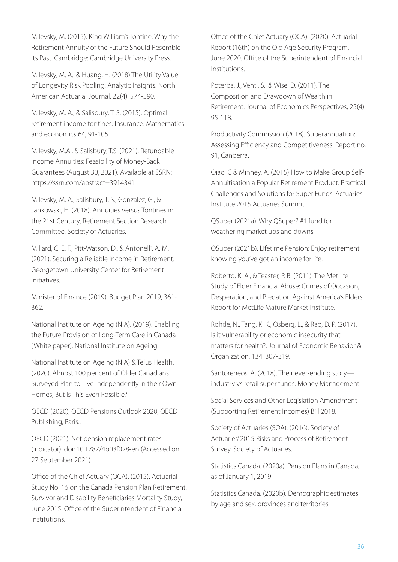Milevsky, M. (2015). King William's Tontine: Why the Retirement Annuity of the Future Should Resemble its Past. Cambridge: Cambridge University Press.

Milevsky, M. A., & Huang, H. (2018) The Utility Value of Longevity Risk Pooling: Analytic Insights. North American Actuarial Journal, 22(4), 574-590.

Milevsky, M. A., & Salisbury, T. S. (2015). Optimal retirement income tontines. Insurance: Mathematics and economics 64, 91-105

Milevsky, M.A., & Salisbury, T.S. (2021). Refundable Income Annuities: Feasibility of Money-Back Guarantees (August 30, 2021). Available at SSRN: https://ssrn.com/abstract=3914341

Milevsky, M. A., Salisbury, T. S., Gonzalez, G., & Jankowski, H. (2018). Annuities versus Tontines in the 21st Century, Retirement Section Research Committee, Society of Actuaries.

Millard, C. E. F., Pitt-Watson, D., & Antonelli, A. M. (2021). Securing a Reliable Income in Retirement. Georgetown University Center for Retirement Initiatives.

Minister of Finance (2019). Budget Plan 2019, 361- 362.

National Institute on Ageing (NIA). (2019). Enabling the Future Provision of Long-Term Care in Canada [White paper]. National Institute on Ageing.

National Institute on Ageing (NIA) & Telus Health. (2020). Almost 100 per cent of Older Canadians Surveyed Plan to Live Independently in their Own Homes, But Is This Even Possible?

OECD (2020), OECD Pensions Outlook 2020, OECD Publishing, Paris.,

OECD (2021), Net pension replacement rates (indicator). doi: 10.1787/4b03f028-en (Accessed on 27 September 2021)

Office of the Chief Actuary (OCA). (2015). Actuarial Study No. 16 on the Canada Pension Plan Retirement, Survivor and Disability Beneficiaries Mortality Study, June 2015. Office of the Superintendent of Financial Institutions.

Office of the Chief Actuary (OCA). (2020). Actuarial Report (16th) on the Old Age Security Program, June 2020. Office of the Superintendent of Financial Institutions.

Poterba, J., Venti, S., & Wise, D. (2011). The Composition and Drawdown of Wealth in Retirement. Journal of Economics Perspectives, 25(4), 95-118.

Productivity Commission (2018). Superannuation: Assessing Efficiency and Competitiveness, Report no. 91, Canberra.

Qiao, C & Minney, A. (2015) How to Make Group Self-Annuitisation a Popular Retirement Product: Practical Challenges and Solutions for Super Funds. Actuaries Institute 2015 Actuaries Summit.

QSuper (2021a). Why QSuper? #1 fund for weathering market ups and downs.

QSuper (2021b). Lifetime Pension: Enjoy retirement, knowing you've got an income for life.

Roberto, K. A., & Teaster, P. B. (2011). The MetLife Study of Elder Financial Abuse: Crimes of Occasion, Desperation, and Predation Against America's Elders. Report for MetLife Mature Market Institute.

Rohde, N., Tang, K. K., Osberg, L., & Rao, D. P. (2017). Is it vulnerability or economic insecurity that matters for health?. Journal of Economic Behavior & Organization, 134, 307-319.

Santoreneos, A. (2018). The never-ending story industry vs retail super funds. Money Management.

Social Services and Other Legislation Amendment (Supporting Retirement Incomes) Bill 2018.

Society of Actuaries (SOA). (2016). Society of Actuaries' 2015 Risks and Process of Retirement Survey. Society of Actuaries.

Statistics Canada. (2020a). Pension Plans in Canada, as of January 1, 2019.

Statistics Canada. (2020b). Demographic estimates by age and sex, provinces and territories.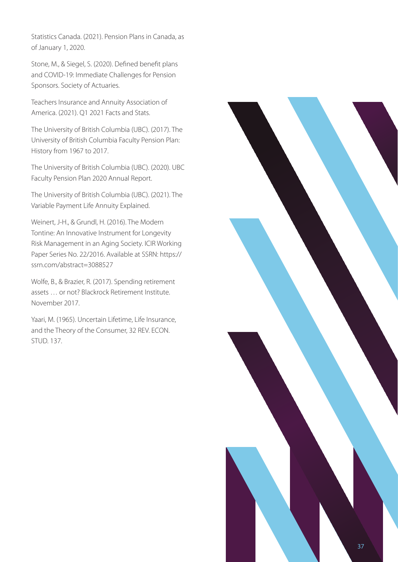Statistics Canada. (2021). Pension Plans in Canada, as of January 1, 2020.

Stone, M., & Siegel, S. (2020). Defined benefit plans and COVID-19: Immediate Challenges for Pension Sponsors. Society of Actuaries.

Teachers Insurance and Annuity Association of America. (2021). Q1 2021 Facts and Stats.

The University of British Columbia (UBC). (2017). The University of British Columbia Faculty Pension Plan: History from 1967 to 2017.

The University of British Columbia (UBC). (2020). UBC Faculty Pension Plan 2020 Annual Report.

The University of British Columbia (UBC). (2021). The Variable Payment Life Annuity Explained.

Weinert, J-H., & Grundl, H. (2016). The Modern Tontine: An Innovative Instrument for Longevity Risk Management in an Aging Society. ICIR Working Paper Series No. 22/2016. Available at SSRN: https:// ssrn.com/abstract=3088527

Wolfe, B., & Brazier, R. (2017). Spending retirement assets … or not? Blackrock Retirement Institute. November 2017.

Yaari, M. (1965). Uncertain Lifetime, Life Insurance, and the Theory of the Consumer, 32 REV. ECON. STUD. 137.